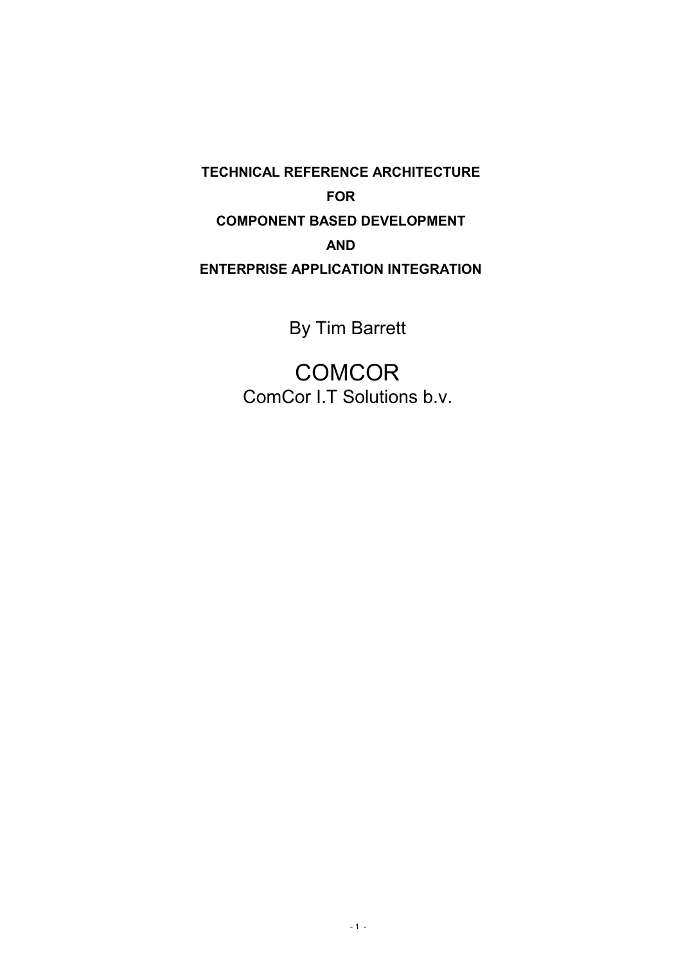**TECHNICAL REFERENCE ARCHITECTURE FOR COMPONENT BASED DEVELOPMENT AND ENTERPRISE APPLICATION INTEGRATION**

By Tim Barrett

**COMCOR** ComCor I.T Solutions b.v.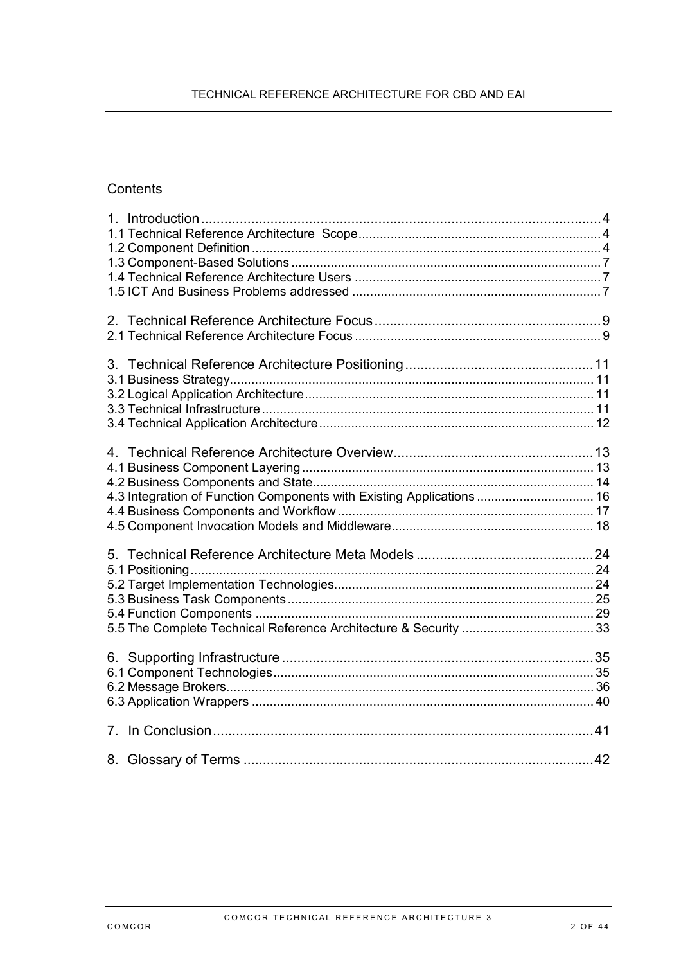# **Contents**

| 4.3 Integration of Function Components with Existing Applications  16 |    |
|-----------------------------------------------------------------------|----|
|                                                                       |    |
|                                                                       |    |
|                                                                       |    |
|                                                                       | 42 |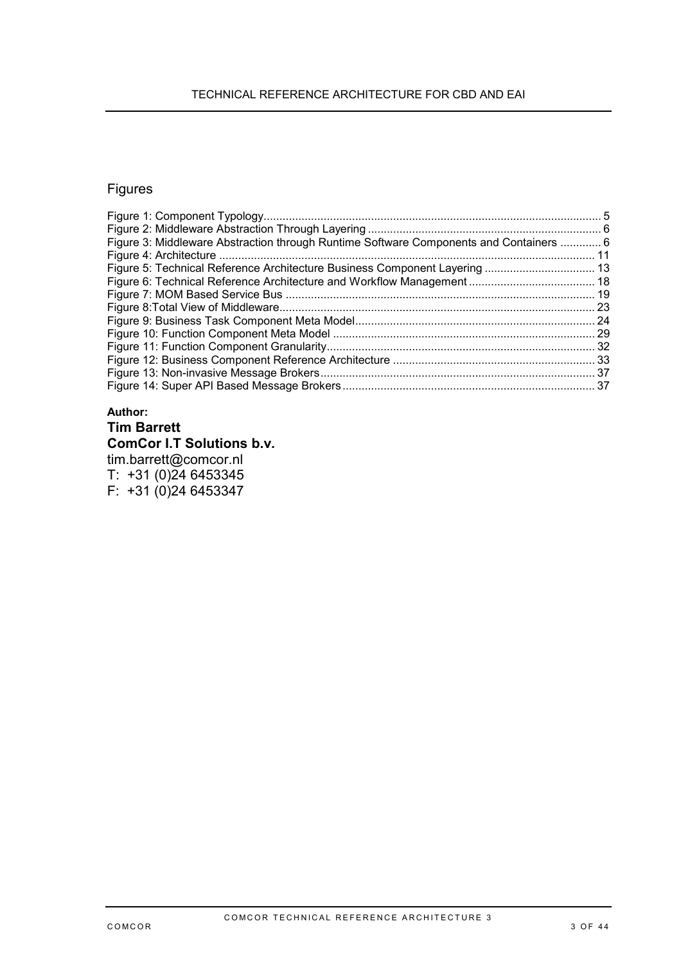### TECHNICAL REFERENCE ARCHITECTURE FOR CBD AND EAI

# Figures

| Figure 3: Middleware Abstraction through Runtime Software Components and Containers  6 |  |
|----------------------------------------------------------------------------------------|--|
|                                                                                        |  |
|                                                                                        |  |
|                                                                                        |  |
|                                                                                        |  |
|                                                                                        |  |
|                                                                                        |  |
|                                                                                        |  |
|                                                                                        |  |
|                                                                                        |  |
|                                                                                        |  |
|                                                                                        |  |

### **Author: Tim Barrett**

## **ComCor I.T Solutions b.v.**

tim.barrett@comcor.nl T: +31 (0)24 6453345 F: +31 (0)24 6453347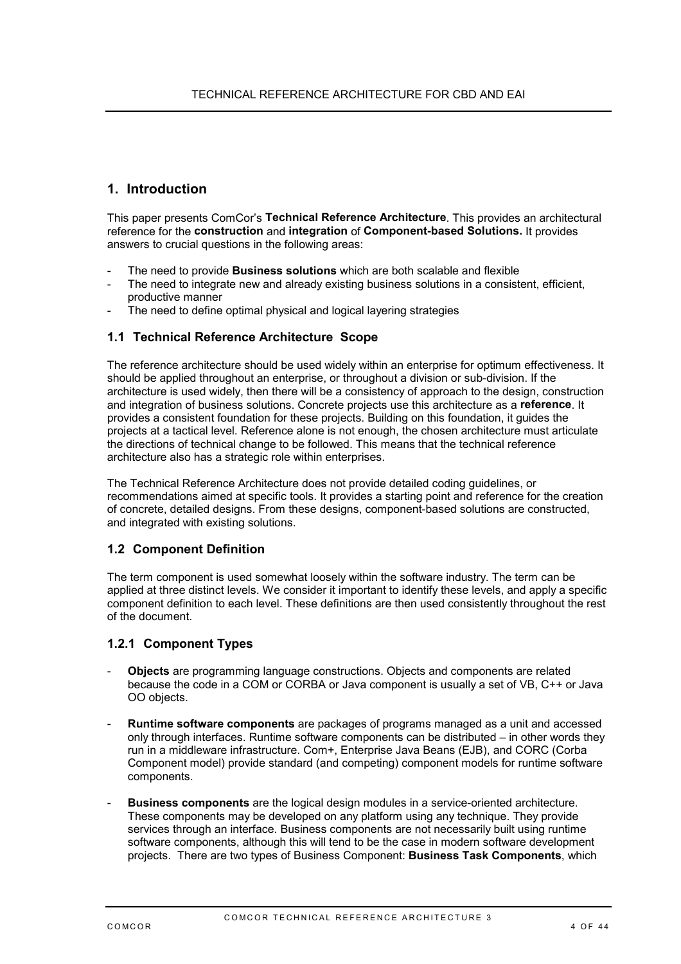## <span id="page-3-0"></span>**1. Introduction**

This paper presents ComCor's **Technical Reference Architecture**. This provides an architectural reference for the **construction** and **integration** of **Component-based Solutions.** It provides answers to crucial questions in the following areas:

- The need to provide **Business solutions** which are both scalable and flexible
- The need to integrate new and already existing business solutions in a consistent, efficient, productive manner
- The need to define optimal physical and logical layering strategies

#### **1.1 Technical Reference Architecture Scope**

The reference architecture should be used widely within an enterprise for optimum effectiveness. It should be applied throughout an enterprise, or throughout a division or sub-division. If the architecture is used widely, then there will be a consistency of approach to the design, construction and integration of business solutions. Concrete projects use this architecture as a **reference**. It provides a consistent foundation for these projects. Building on this foundation, it guides the projects at a tactical level. Reference alone is not enough, the chosen architecture must articulate the directions of technical change to be followed. This means that the technical reference architecture also has a strategic role within enterprises.

The Technical Reference Architecture does not provide detailed coding guidelines, or recommendations aimed at specific tools. It provides a starting point and reference for the creation of concrete, detailed designs. From these designs, component-based solutions are constructed, and integrated with existing solutions.

#### **1.2 Component Definition**

The term component is used somewhat loosely within the software industry. The term can be applied at three distinct levels. We consider it important to identify these levels, and apply a specific component definition to each level. These definitions are then used consistently throughout the rest of the document.

#### **1.2.1 Component Types**

- **Objects** are programming language constructions. Objects and components are related because the code in a COM or CORBA or Java component is usually a set of VB, C++ or Java OO objects.
- **Runtime software components** are packages of programs managed as a unit and accessed only through interfaces. Runtime software components can be distributed – in other words they run in a middleware infrastructure. Com+, Enterprise Java Beans (EJB), and CORC (Corba Component model) provide standard (and competing) component models for runtime software components.
- **Business components** are the logical design modules in a service-oriented architecture. These components may be developed on any platform using any technique. They provide services through an interface. Business components are not necessarily built using runtime software components, although this will tend to be the case in modern software development projects. There are two types of Business Component: **Business Task Components**, which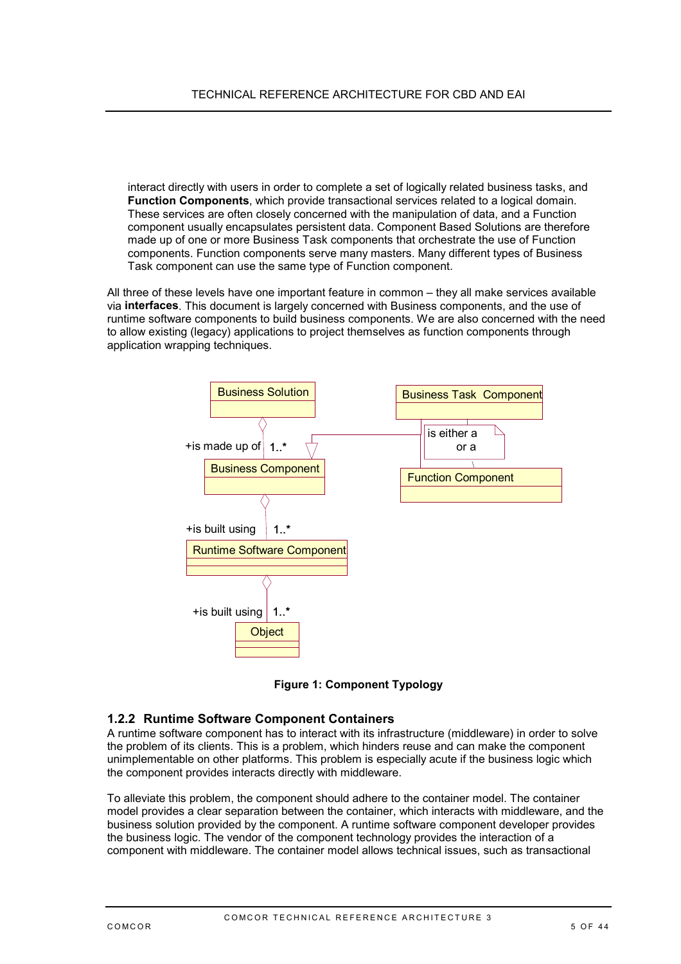<span id="page-4-0"></span>interact directly with users in order to complete a set of logically related business tasks, and **Function Components**, which provide transactional services related to a logical domain. These services are often closely concerned with the manipulation of data, and a Function component usually encapsulates persistent data. Component Based Solutions are therefore made up of one or more Business Task components that orchestrate the use of Function components. Function components serve many masters. Many different types of Business Task component can use the same type of Function component.

All three of these levels have one important feature in common – they all make services available via **interfaces**. This document is largely concerned with Business components, and the use of runtime software components to build business components. We are also concerned with the need to allow existing (legacy) applications to project themselves as function components through application wrapping techniques.



**Figure 1: Component Typology**

### **1.2.2 Runtime Software Component Containers**

A runtime software component has to interact with its infrastructure (middleware) in order to solve the problem of its clients. This is a problem, which hinders reuse and can make the component unimplementable on other platforms. This problem is especially acute if the business logic which the component provides interacts directly with middleware.

To alleviate this problem, the component should adhere to the container model. The container model provides a clear separation between the container, which interacts with middleware, and the business solution provided by the component. A runtime software component developer provides the business logic. The vendor of the component technology provides the interaction of a component with middleware. The container model allows technical issues, such as transactional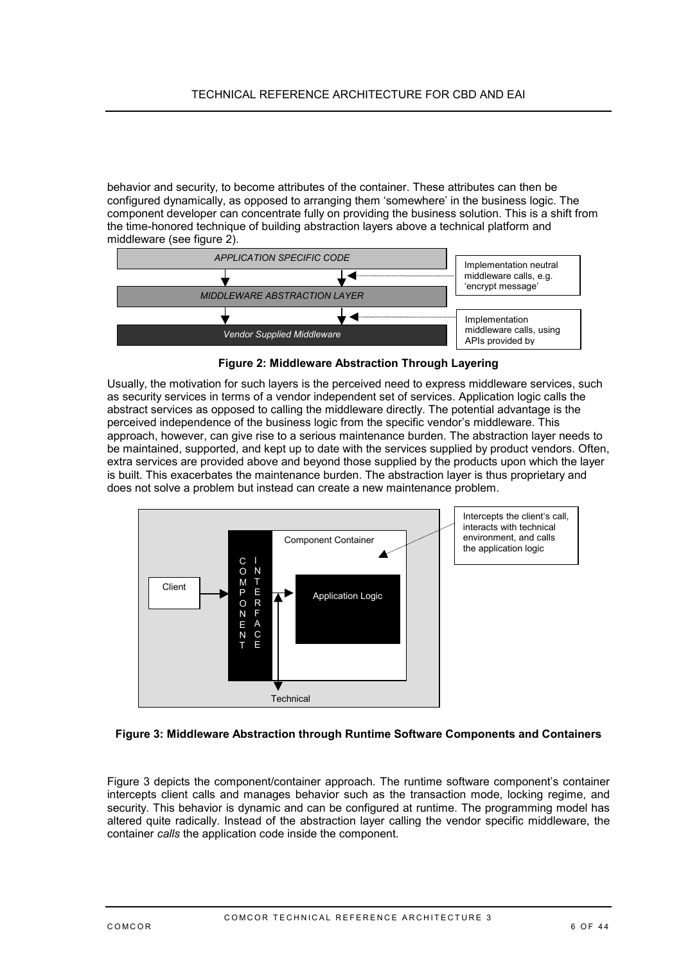<span id="page-5-0"></span>behavior and security, to become attributes of the container. These attributes can then be configured dynamically, as opposed to arranging them 'somewhere' in the business logic. The component developer can concentrate fully on providing the business solution. This is a shift from the time-honored technique of building abstraction layers above a technical platform and middleware (see figure 2).



**Figure 2: Middleware Abstraction Through Layering**

Usually, the motivation for such layers is the perceived need to express middleware services, such as security services in terms of a vendor independent set of services. Application logic calls the abstract services as opposed to calling the middleware directly. The potential advantage is the perceived independence of the business logic from the specific vendor's middleware. This approach, however, can give rise to a serious maintenance burden. The abstraction layer needs to be maintained, supported, and kept up to date with the services supplied by product vendors. Often, extra services are provided above and beyond those supplied by the products upon which the layer is built. This exacerbates the maintenance burden. The abstraction layer is thus proprietary and does not solve a problem but instead can create a new maintenance problem.



#### **Figure 3: Middleware Abstraction through Runtime Software Components and Containers**

Figure 3 depicts the component/container approach. The runtime software component's container intercepts client calls and manages behavior such as the transaction mode, locking regime, and security. This behavior is dynamic and can be configured at runtime. The programming model has altered quite radically. Instead of the abstraction layer calling the vendor specific middleware, the container *calls* the application code inside the component.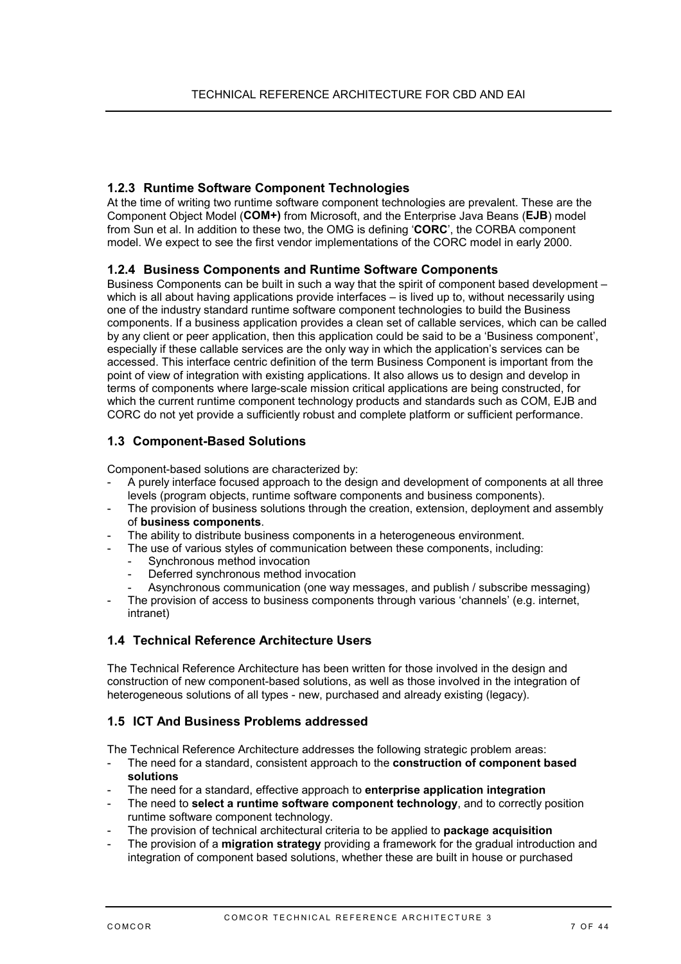### <span id="page-6-0"></span>**1.2.3 Runtime Software Component Technologies**

At the time of writing two runtime software component technologies are prevalent. These are the Component Object Model (**COM+)** from Microsoft, and the Enterprise Java Beans (**EJB**) model from Sun et al. In addition to these two, the OMG is defining '**CORC**', the CORBA component model. We expect to see the first vendor implementations of the CORC model in early 2000.

### **1.2.4 Business Components and Runtime Software Components**

Business Components can be built in such a way that the spirit of component based development – which is all about having applications provide interfaces – is lived up to, without necessarily using one of the industry standard runtime software component technologies to build the Business components. If a business application provides a clean set of callable services, which can be called by any client or peer application, then this application could be said to be a 'Business component', especially if these callable services are the only way in which the application's services can be accessed. This interface centric definition of the term Business Component is important from the point of view of integration with existing applications. It also allows us to design and develop in terms of components where large-scale mission critical applications are being constructed, for which the current runtime component technology products and standards such as COM, EJB and CORC do not yet provide a sufficiently robust and complete platform or sufficient performance.

### **1.3 Component-Based Solutions**

Component-based solutions are characterized by:

- A purely interface focused approach to the design and development of components at all three levels (program objects, runtime software components and business components).
- The provision of business solutions through the creation, extension, deployment and assembly of **business components**.
- The ability to distribute business components in a heterogeneous environment.
- The use of various styles of communication between these components, including:
	- Synchronous method invocation
	- Deferred synchronous method invocation
	- Asynchronous communication (one way messages, and publish / subscribe messaging)
- The provision of access to business components through various 'channels' (e.g. internet, intranet)

### **1.4 Technical Reference Architecture Users**

The Technical Reference Architecture has been written for those involved in the design and construction of new component-based solutions, as well as those involved in the integration of heterogeneous solutions of all types - new, purchased and already existing (legacy).

### **1.5 ICT And Business Problems addressed**

The Technical Reference Architecture addresses the following strategic problem areas:

- The need for a standard, consistent approach to the **construction of component based solutions**
- The need for a standard, effective approach to **enterprise application integration**
- The need to **select a runtime software component technology**, and to correctly position runtime software component technology.
- The provision of technical architectural criteria to be applied to **package acquisition**
- The provision of a **migration strategy** providing a framework for the gradual introduction and integration of component based solutions, whether these are built in house or purchased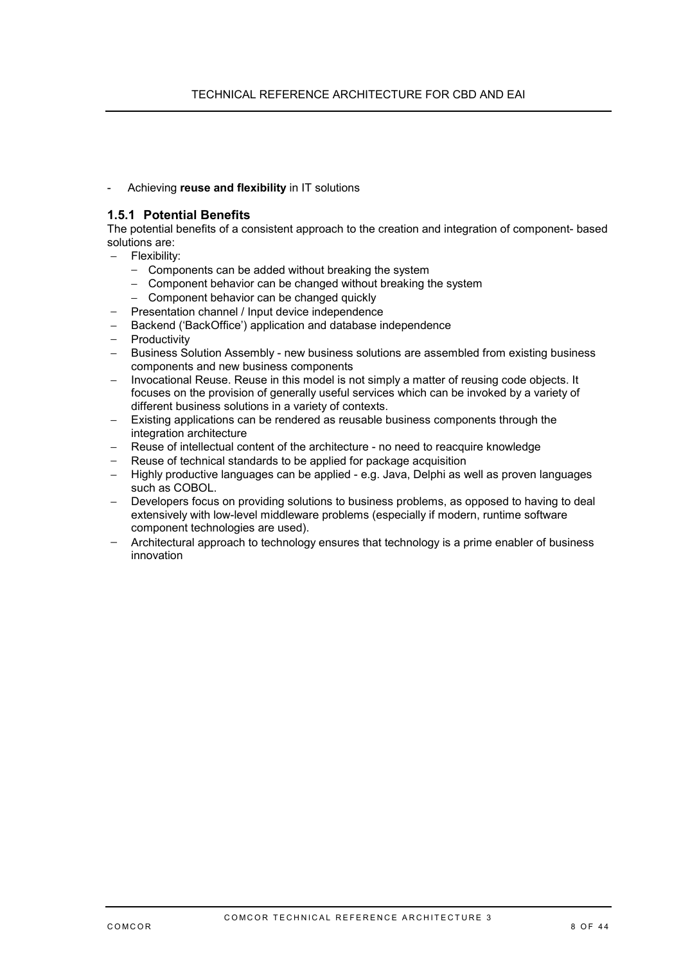- Achieving **reuse and flexibility** in IT solutions

### **1.5.1 Potential Benefits**

The potential benefits of a consistent approach to the creation and integration of component- based solutions are:

- − Flexibility:
	- − Components can be added without breaking the system
	- − Component behavior can be changed without breaking the system
	- − Component behavior can be changed quickly
- − Presentation channel / Input device independence
- − Backend ('BackOffice') application and database independence
- − Productivity
- − Business Solution Assembly new business solutions are assembled from existing business components and new business components
- − Invocational Reuse. Reuse in this model is not simply a matter of reusing code objects. It focuses on the provision of generally useful services which can be invoked by a variety of different business solutions in a variety of contexts.
- − Existing applications can be rendered as reusable business components through the integration architecture
- − Reuse of intellectual content of the architecture no need to reacquire knowledge
- Reuse of technical standards to be applied for package acquisition
- − Highly productive languages can be applied e.g. Java, Delphi as well as proven languages such as COBOL.
- Developers focus on providing solutions to business problems, as opposed to having to deal extensively with low-level middleware problems (especially if modern, runtime software component technologies are used).
- − Architectural approach to technology ensures that technology is a prime enabler of business innovation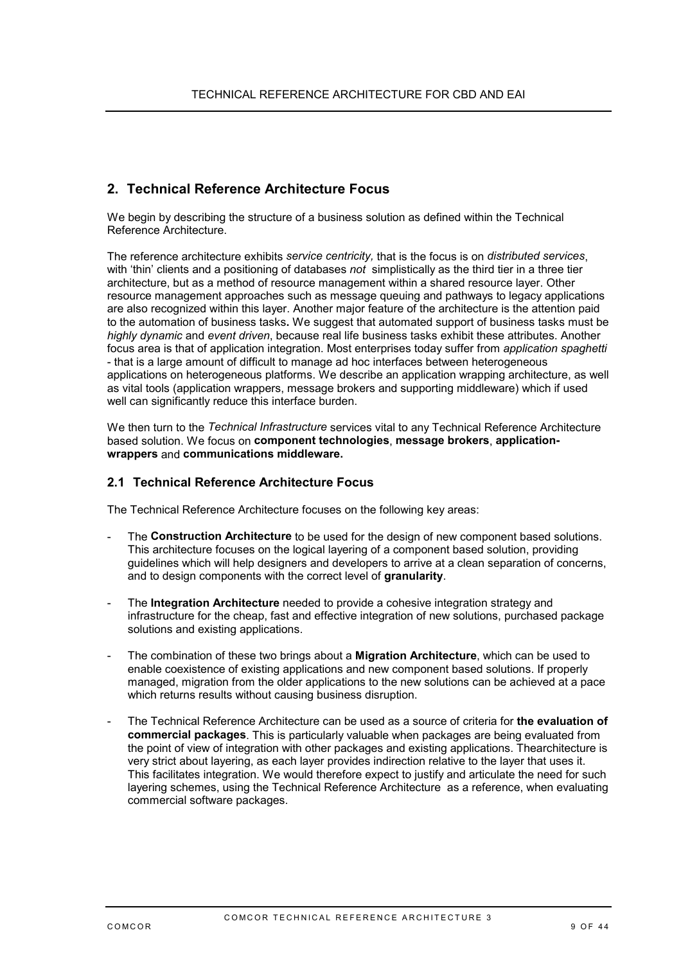## <span id="page-8-0"></span>**2. Technical Reference Architecture Focus**

We begin by describing the structure of a business solution as defined within the Technical Reference Architecture.

The reference architecture exhibits *service centricity,* that is the focus is on *distributed services*, with 'thin' clients and a positioning of databases *not* simplistically as the third tier in a three tier architecture, but as a method of resource management within a shared resource layer. Other resource management approaches such as message queuing and pathways to legacy applications are also recognized within this layer. Another major feature of the architecture is the attention paid to the automation of business tasks**.** We suggest that automated support of business tasks must be *highly dynamic* and *event driven*, because real life business tasks exhibit these attributes. Another focus area is that of application integration. Most enterprises today suffer from *application spaghetti* - that is a large amount of difficult to manage ad hoc interfaces between heterogeneous applications on heterogeneous platforms. We describe an application wrapping architecture, as well as vital tools (application wrappers, message brokers and supporting middleware) which if used well can significantly reduce this interface burden.

We then turn to the *Technical Infrastructure* services vital to any Technical Reference Architecture based solution. We focus on **component technologies**, **message brokers**, **applicationwrappers** and **communications middleware.**

### **2.1 Technical Reference Architecture Focus**

The Technical Reference Architecture focuses on the following key areas:

- The **Construction Architecture** to be used for the design of new component based solutions. This architecture focuses on the logical layering of a component based solution, providing guidelines which will help designers and developers to arrive at a clean separation of concerns, and to design components with the correct level of **granularity**.
- The **Integration Architecture** needed to provide a cohesive integration strategy and infrastructure for the cheap, fast and effective integration of new solutions, purchased package solutions and existing applications.
- The combination of these two brings about a **Migration Architecture**, which can be used to enable coexistence of existing applications and new component based solutions. If properly managed, migration from the older applications to the new solutions can be achieved at a pace which returns results without causing business disruption.
- The Technical Reference Architecture can be used as a source of criteria for **the evaluation of commercial packages**. This is particularly valuable when packages are being evaluated from the point of view of integration with other packages and existing applications. Thearchitecture is very strict about layering, as each layer provides indirection relative to the layer that uses it. This facilitates integration. We would therefore expect to justify and articulate the need for such layering schemes, using the Technical Reference Architecture as a reference, when evaluating commercial software packages.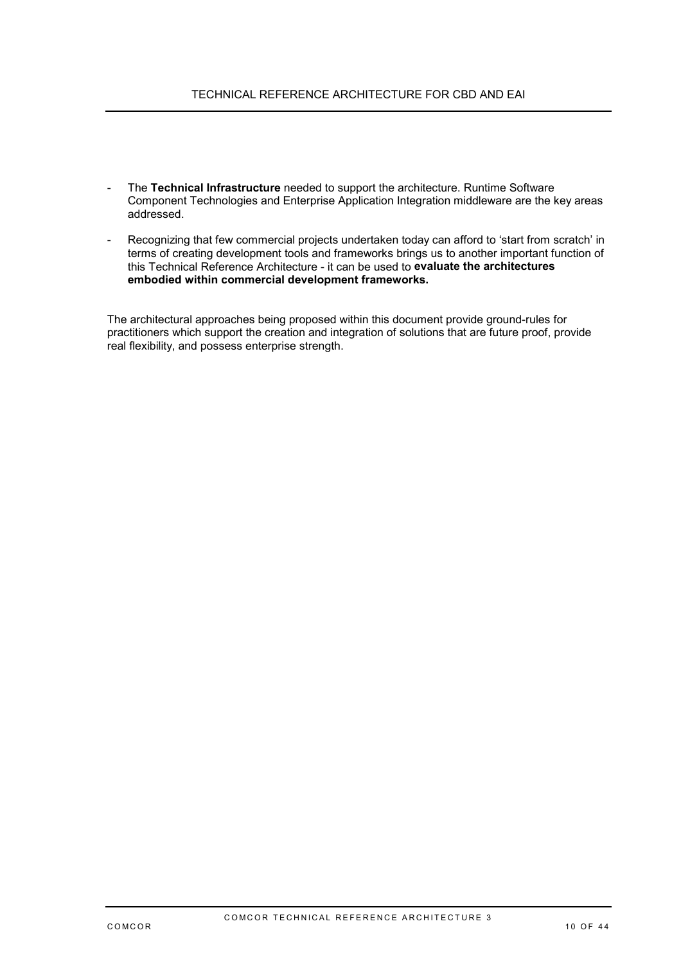- The **Technical Infrastructure** needed to support the architecture. Runtime Software Component Technologies and Enterprise Application Integration middleware are the key areas addressed.
- Recognizing that few commercial projects undertaken today can afford to 'start from scratch' in terms of creating development tools and frameworks brings us to another important function of this Technical Reference Architecture - it can be used to **evaluate the architectures embodied within commercial development frameworks.**

The architectural approaches being proposed within this document provide ground-rules for practitioners which support the creation and integration of solutions that are future proof, provide real flexibility, and possess enterprise strength.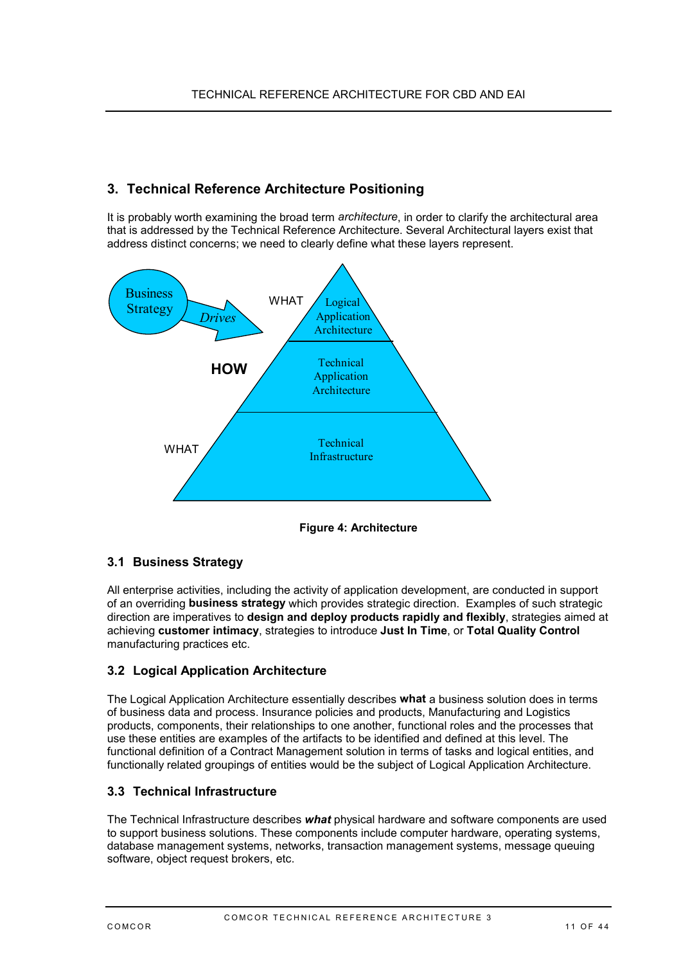## <span id="page-10-0"></span>**3. Technical Reference Architecture Positioning**

It is probably worth examining the broad term *architecture*, in order to clarify the architectural area that is addressed by the Technical Reference Architecture. Several Architectural layers exist that address distinct concerns; we need to clearly define what these layers represent.



**Figure 4: Architecture**

## **3.1 Business Strategy**

All enterprise activities, including the activity of application development, are conducted in support of an overriding **business strategy** which provides strategic direction. Examples of such strategic direction are imperatives to **design and deploy products rapidly and flexibly**, strategies aimed at achieving **customer intimacy**, strategies to introduce **Just In Time**, or **Total Quality Control** manufacturing practices etc.

## **3.2 Logical Application Architecture**

The Logical Application Architecture essentially describes **what** a business solution does in terms of business data and process. Insurance policies and products, Manufacturing and Logistics products, components, their relationships to one another, functional roles and the processes that use these entities are examples of the artifacts to be identified and defined at this level. The functional definition of a Contract Management solution in terms of tasks and logical entities, and functionally related groupings of entities would be the subject of Logical Application Architecture.

### **3.3 Technical Infrastructure**

The Technical Infrastructure describes *what* physical hardware and software components are used to support business solutions. These components include computer hardware, operating systems, database management systems, networks, transaction management systems, message queuing software, object request brokers, etc.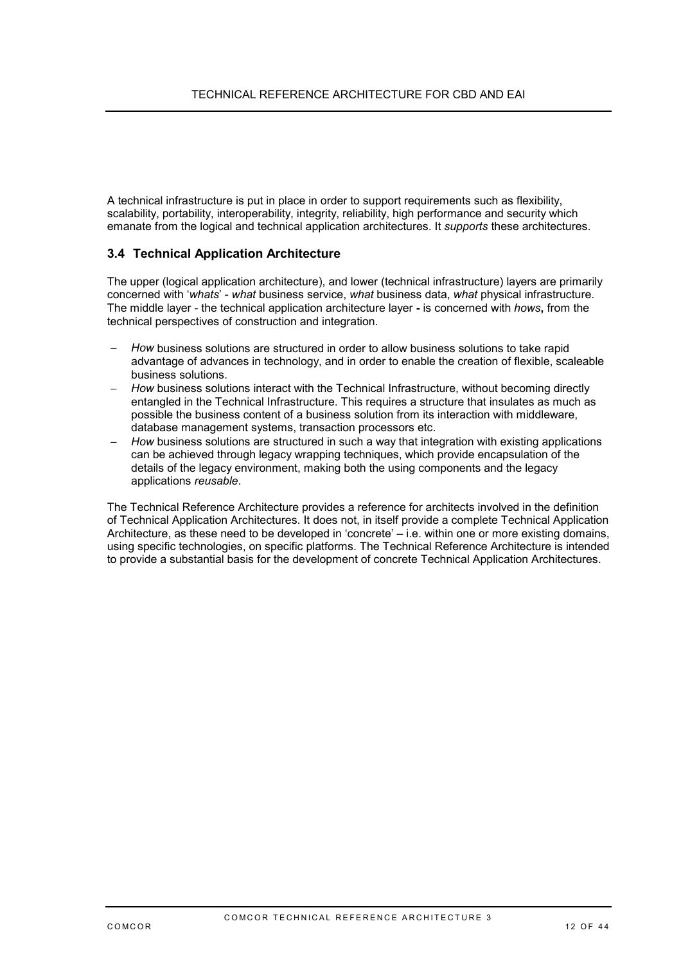<span id="page-11-0"></span>A technical infrastructure is put in place in order to support requirements such as flexibility, scalability, portability, interoperability, integrity, reliability, high performance and security which emanate from the logical and technical application architectures. It *supports* these architectures.

### **3.4 Technical Application Architecture**

The upper (logical application architecture), and lower (technical infrastructure) layers are primarily concerned with '*whats*' - *what* business service, *what* business data, *what* physical infrastructure. The middle layer - the technical application architecture layer **-** is concerned with *hows***,** from the technical perspectives of construction and integration.

- − *How* business solutions are structured in order to allow business solutions to take rapid advantage of advances in technology, and in order to enable the creation of flexible, scaleable business solutions.
- − *How* business solutions interact with the Technical Infrastructure, without becoming directly entangled in the Technical Infrastructure. This requires a structure that insulates as much as possible the business content of a business solution from its interaction with middleware, database management systems, transaction processors etc.
- *How* business solutions are structured in such a way that integration with existing applications can be achieved through legacy wrapping techniques, which provide encapsulation of the details of the legacy environment, making both the using components and the legacy applications *reusable*.

The Technical Reference Architecture provides a reference for architects involved in the definition of Technical Application Architectures. It does not, in itself provide a complete Technical Application Architecture, as these need to be developed in 'concrete' – i.e. within one or more existing domains, using specific technologies, on specific platforms. The Technical Reference Architecture is intended to provide a substantial basis for the development of concrete Technical Application Architectures.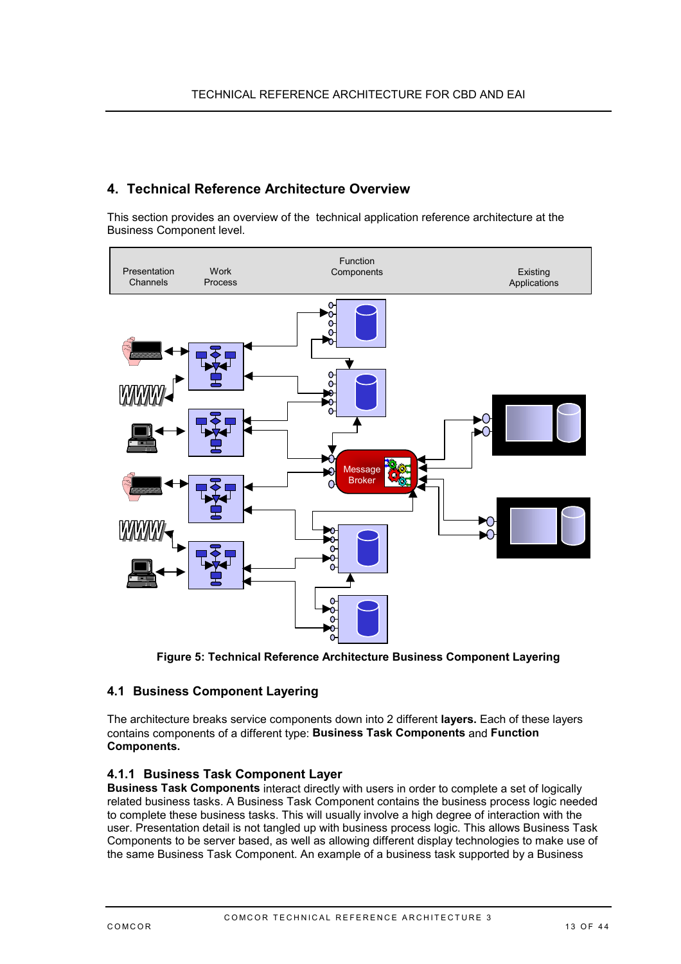## <span id="page-12-0"></span>**4. Technical Reference Architecture Overview**

This section provides an overview of the technical application reference architecture at the Business Component level.



**Figure 5: Technical Reference Architecture Business Component Layering**

## **4.1 Business Component Layering**

The architecture breaks service components down into 2 different **layers.** Each of these layers contains components of a different type: **Business Task Components** and **Function Components.**

### **4.1.1 Business Task Component Layer**

**Business Task Components** interact directly with users in order to complete a set of logically related business tasks. A Business Task Component contains the business process logic needed to complete these business tasks. This will usually involve a high degree of interaction with the user. Presentation detail is not tangled up with business process logic. This allows Business Task Components to be server based, as well as allowing different display technologies to make use of the same Business Task Component. An example of a business task supported by a Business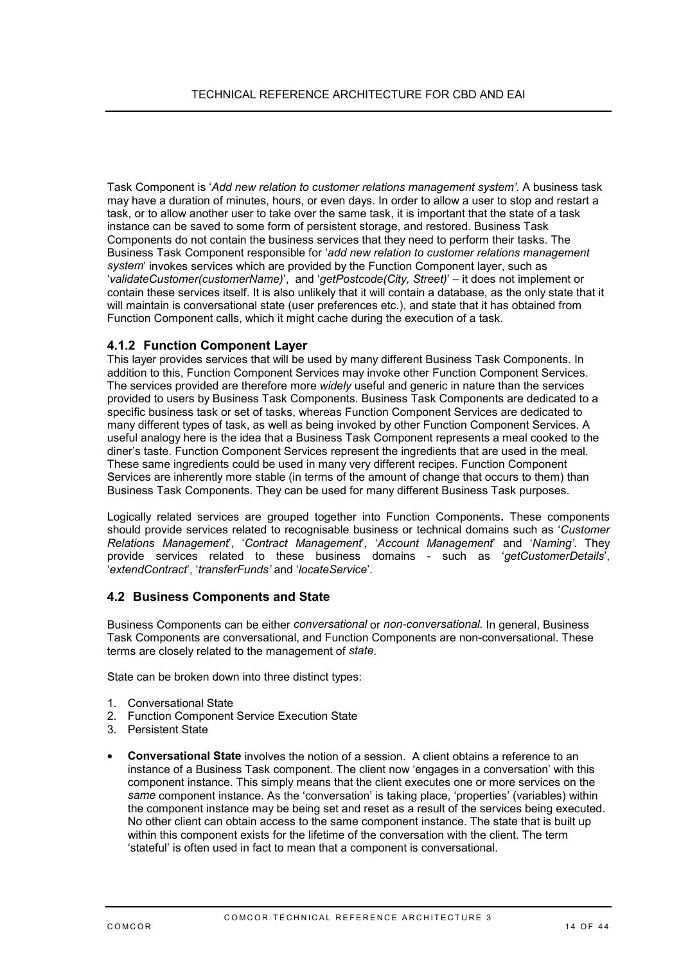<span id="page-13-0"></span>Task Component is '*Add new relation to customer relations management system'*. A business task may have a duration of minutes, hours, or even days. In order to allow a user to stop and restart a task, or to allow another user to take over the same task, it is important that the state of a task instance can be saved to some form of persistent storage, and restored. Business Task Components do not contain the business services that they need to perform their tasks. The Business Task Component responsible for '*add new relation to customer relations management system*' invokes services which are provided by the Function Component layer, such as '*validateCustomer(customerName)*', and '*getPostcode(City, Street)*' – it does not implement or contain these services itself. It is also unlikely that it will contain a database, as the only state that it will maintain is conversational state (user preferences etc.), and state that it has obtained from Function Component calls, which it might cache during the execution of a task.

#### **4.1.2 Function Component Layer**

This layer provides services that will be used by many different Business Task Components. In addition to this, Function Component Services may invoke other Function Component Services. The services provided are therefore more *widely* useful and generic in nature than the services provided to users by Business Task Components. Business Task Components are dedicated to a specific business task or set of tasks, whereas Function Component Services are dedicated to many different types of task, as well as being invoked by other Function Component Services. A useful analogy here is the idea that a Business Task Component represents a meal cooked to the diner's taste. Function Component Services represent the ingredients that are used in the meal. These same ingredients could be used in many very different recipes. Function Component Services are inherently more stable (in terms of the amount of change that occurs to them) than Business Task Components. They can be used for many different Business Task purposes.

Logically related services are grouped together into Function Components**.** These components should provide services related to recognisable business or technical domains such as '*Customer Relations Management*', '*Contract Management*', '*Account Management*' and '*Naming'*. They provide services related to these business domains - such as '*getCustomerDetails*', '*extendContract*', '*transferFunds'* and '*locateService*'.

### **4.2 Business Components and State**

Business Components can be either *conversational* or *non-conversational.* In general, Business Task Components are conversational, and Function Components are non-conversational. These terms are closely related to the management of *state*.

State can be broken down into three distinct types:

- 1. Conversational State
- 2. Function Component Service Execution State
- 3. Persistent State
- **Conversational State** involves the notion of a session. A client obtains a reference to an instance of a Business Task component. The client now 'engages in a conversation' with this component instance. This simply means that the client executes one or more services on the *same* component instance. As the 'conversation' is taking place, 'properties' (variables) within the component instance may be being set and reset as a result of the services being executed. No other client can obtain access to the same component instance. The state that is built up within this component exists for the lifetime of the conversation with the client. The term 'stateful' is often used in fact to mean that a component is conversational.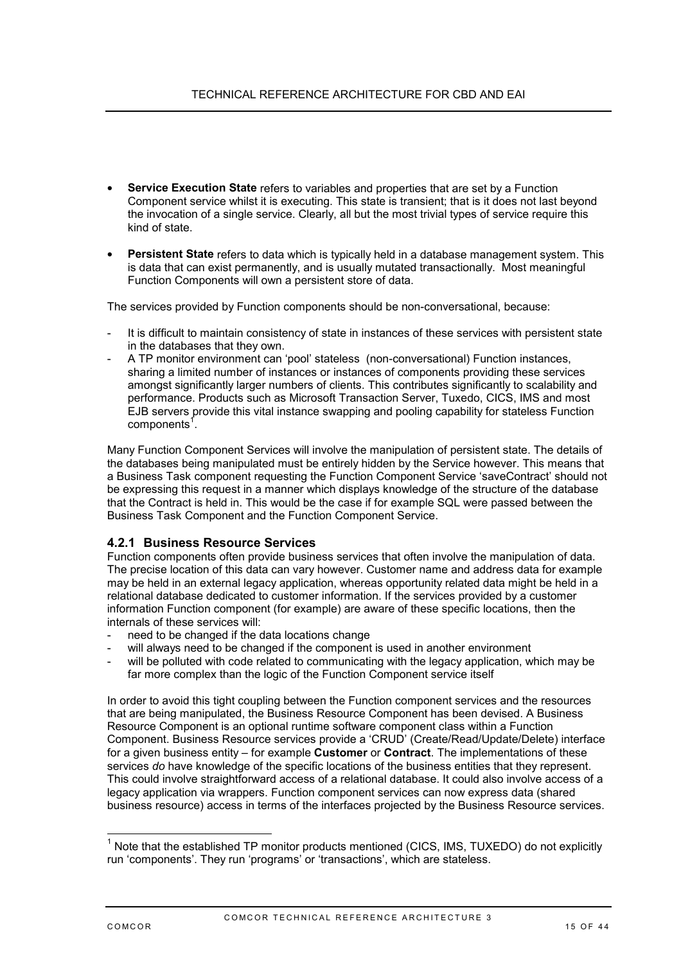- **Service Execution State** refers to variables and properties that are set by a Function Component service whilst it is executing. This state is transient; that is it does not last beyond the invocation of a single service. Clearly, all but the most trivial types of service require this kind of state.
- **Persistent State** refers to data which is typically held in a database management system. This is data that can exist permanently, and is usually mutated transactionally. Most meaningful Function Components will own a persistent store of data.

The services provided by Function components should be non-conversational, because:

- It is difficult to maintain consistency of state in instances of these services with persistent state in the databases that they own.
- A TP monitor environment can 'pool' stateless (non-conversational) Function instances, sharing a limited number of instances or instances of components providing these services amongst significantly larger numbers of clients. This contributes significantly to scalability and performance. Products such as Microsoft Transaction Server, Tuxedo, CICS, IMS and most EJB servers provide this vital instance swapping and pooling capability for stateless Function components<sup>1</sup>.

Many Function Component Services will involve the manipulation of persistent state. The details of the databases being manipulated must be entirely hidden by the Service however. This means that a Business Task component requesting the Function Component Service 'saveContract' should not be expressing this request in a manner which displays knowledge of the structure of the database that the Contract is held in. This would be the case if for example SQL were passed between the Business Task Component and the Function Component Service.

### **4.2.1 Business Resource Services**

Function components often provide business services that often involve the manipulation of data. The precise location of this data can vary however. Customer name and address data for example may be held in an external legacy application, whereas opportunity related data might be held in a relational database dedicated to customer information. If the services provided by a customer information Function component (for example) are aware of these specific locations, then the internals of these services will:

- need to be changed if the data locations change
- will always need to be changed if the component is used in another environment
- will be polluted with code related to communicating with the legacy application, which may be far more complex than the logic of the Function Component service itself

In order to avoid this tight coupling between the Function component services and the resources that are being manipulated, the Business Resource Component has been devised. A Business Resource Component is an optional runtime software component class within a Function Component. Business Resource services provide a 'CRUD' (Create/Read/Update/Delete) interface for a given business entity – for example **Customer** or **Contract**. The implementations of these services *do* have knowledge of the specific locations of the business entities that they represent. This could involve straightforward access of a relational database. It could also involve access of a legacy application via wrappers. Function component services can now express data (shared business resource) access in terms of the interfaces projected by the Business Resource services.

t

<sup>&</sup>lt;sup>1</sup> Note that the established TP monitor products mentioned (CICS, IMS, TUXEDO) do not explicitly run 'components'. They run 'programs' or 'transactions', which are stateless.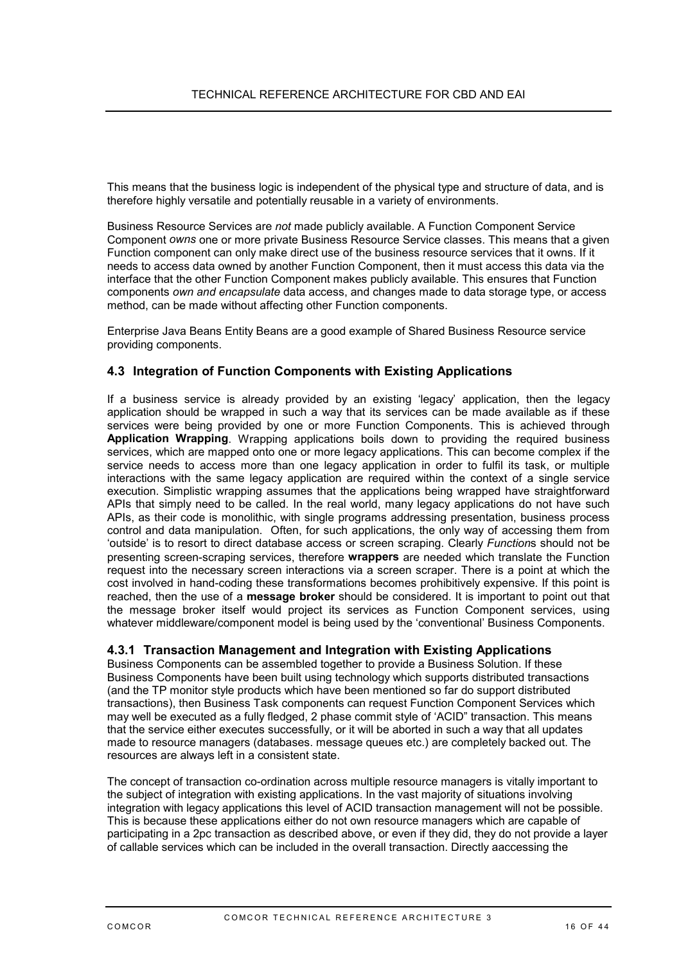<span id="page-15-0"></span>This means that the business logic is independent of the physical type and structure of data, and is therefore highly versatile and potentially reusable in a variety of environments.

Business Resource Services are *not* made publicly available. A Function Component Service Component *owns* one or more private Business Resource Service classes. This means that a given Function component can only make direct use of the business resource services that it owns. If it needs to access data owned by another Function Component, then it must access this data via the interface that the other Function Component makes publicly available. This ensures that Function components *own and encapsulate* data access, and changes made to data storage type, or access method, can be made without affecting other Function components.

Enterprise Java Beans Entity Beans are a good example of Shared Business Resource service providing components.

### **4.3 Integration of Function Components with Existing Applications**

If a business service is already provided by an existing 'legacy' application, then the legacy application should be wrapped in such a way that its services can be made available as if these services were being provided by one or more Function Components. This is achieved through **Application Wrapping**. Wrapping applications boils down to providing the required business services, which are mapped onto one or more legacy applications. This can become complex if the service needs to access more than one legacy application in order to fulfil its task, or multiple interactions with the same legacy application are required within the context of a single service execution. Simplistic wrapping assumes that the applications being wrapped have straightforward APIs that simply need to be called. In the real world, many legacy applications do not have such APIs, as their code is monolithic, with single programs addressing presentation, business process control and data manipulation. Often, for such applications, the only way of accessing them from 'outside' is to resort to direct database access or screen scraping. Clearly *Function*s should not be presenting screen-scraping services, therefore **wrappers** are needed which translate the Function request into the necessary screen interactions via a screen scraper. There is a point at which the cost involved in hand-coding these transformations becomes prohibitively expensive. If this point is reached, then the use of a **message broker** should be considered. It is important to point out that the message broker itself would project its services as Function Component services, using whatever middleware/component model is being used by the 'conventional' Business Components.

### **4.3.1 Transaction Management and Integration with Existing Applications**

Business Components can be assembled together to provide a Business Solution. If these Business Components have been built using technology which supports distributed transactions (and the TP monitor style products which have been mentioned so far do support distributed transactions), then Business Task components can request Function Component Services which may well be executed as a fully fledged, 2 phase commit style of 'ACID" transaction. This means that the service either executes successfully, or it will be aborted in such a way that all updates made to resource managers (databases. message queues etc.) are completely backed out. The resources are always left in a consistent state.

The concept of transaction co-ordination across multiple resource managers is vitally important to the subject of integration with existing applications. In the vast majority of situations involving integration with legacy applications this level of ACID transaction management will not be possible. This is because these applications either do not own resource managers which are capable of participating in a 2pc transaction as described above, or even if they did, they do not provide a layer of callable services which can be included in the overall transaction. Directly aaccessing the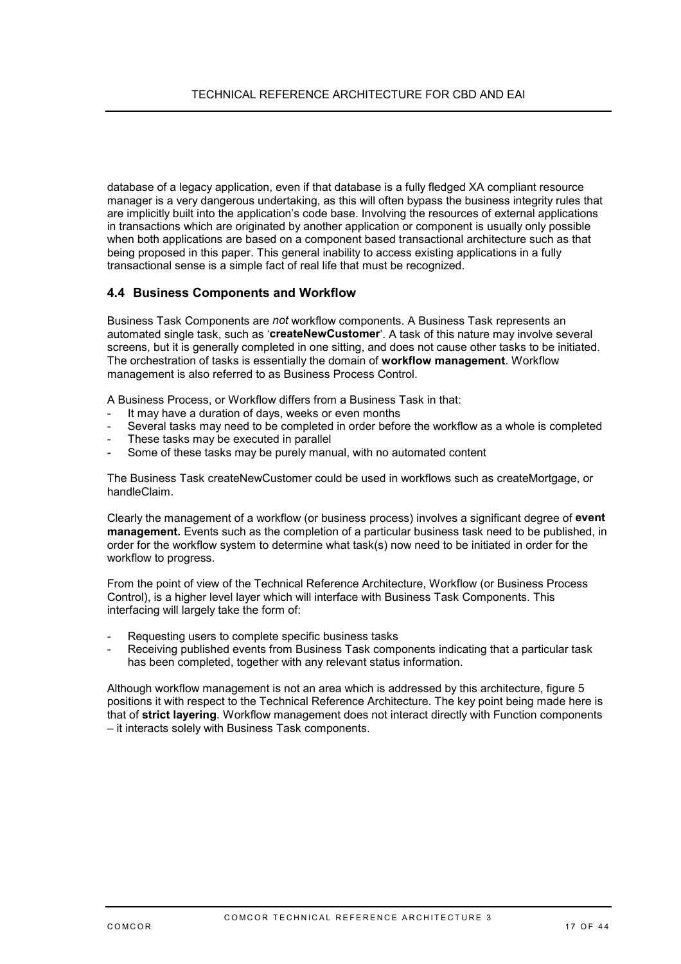<span id="page-16-0"></span>database of a legacy application, even if that database is a fully fledged XA compliant resource manager is a very dangerous undertaking, as this will often bypass the business integrity rules that are implicitly built into the application's code base. Involving the resources of external applications in transactions which are originated by another application or component is usually only possible when both applications are based on a component based transactional architecture such as that being proposed in this paper. This general inability to access existing applications in a fully transactional sense is a simple fact of real life that must be recognized.

### **4.4 Business Components and Workflow**

Business Task Components are *not* workflow components. A Business Task represents an automated single task, such as '**createNewCustomer**'. A task of this nature may involve several screens, but it is generally completed in one sitting, and does not cause other tasks to be initiated. The orchestration of tasks is essentially the domain of **workflow management**. Workflow management is also referred to as Business Process Control.

A Business Process, or Workflow differs from a Business Task in that:

- It may have a duration of days, weeks or even months
- Several tasks may need to be completed in order before the workflow as a whole is completed
- These tasks may be executed in parallel
- Some of these tasks may be purely manual, with no automated content

The Business Task createNewCustomer could be used in workflows such as createMortgage, or handleClaim.

Clearly the management of a workflow (or business process) involves a significant degree of **event management.** Events such as the completion of a particular business task need to be published, in order for the workflow system to determine what task(s) now need to be initiated in order for the workflow to progress.

From the point of view of the Technical Reference Architecture, Workflow (or Business Process Control), is a higher level layer which will interface with Business Task Components. This interfacing will largely take the form of:

- Requesting users to complete specific business tasks
- Receiving published events from Business Task components indicating that a particular task has been completed, together with any relevant status information.

Although workflow management is not an area which is addressed by this architecture, figure 5 positions it with respect to the Technical Reference Architecture. The key point being made here is that of **strict layering**. Workflow management does not interact directly with Function components – it interacts solely with Business Task components.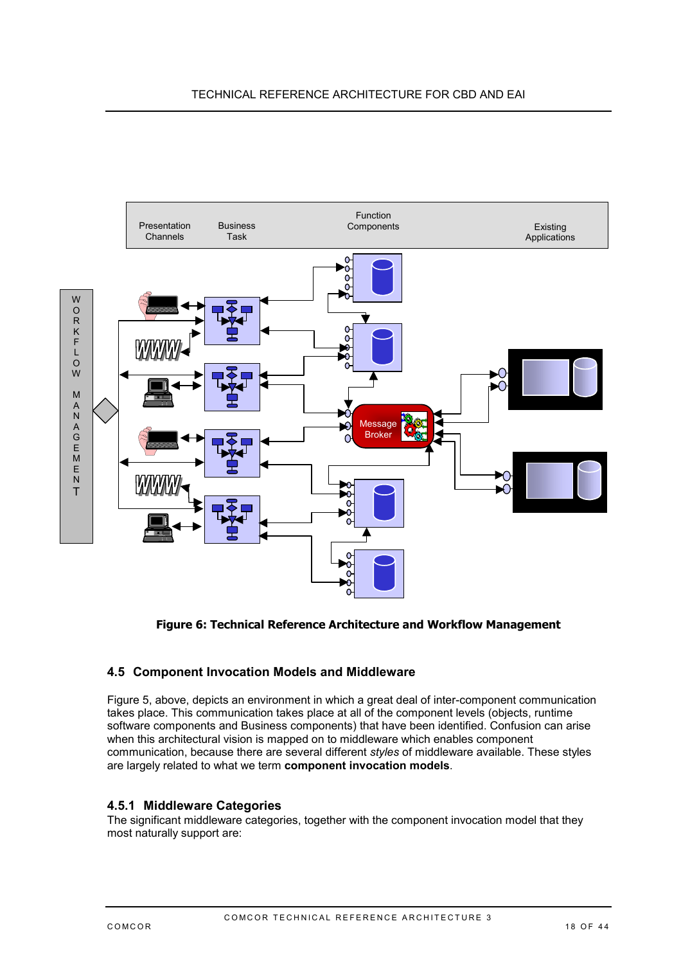<span id="page-17-0"></span>

### **Figure 6: Technical Reference Architecture and Workflow Management**

## **4.5 Component Invocation Models and Middleware**

Figure 5, above, depicts an environment in which a great deal of inter-component communication takes place. This communication takes place at all of the component levels (objects, runtime software components and Business components) that have been identified. Confusion can arise when this architectural vision is mapped on to middleware which enables component communication, because there are several different *styles* of middleware available. These styles are largely related to what we term **component invocation models**.

### **4.5.1 Middleware Categories**

The significant middleware categories, together with the component invocation model that they most naturally support are: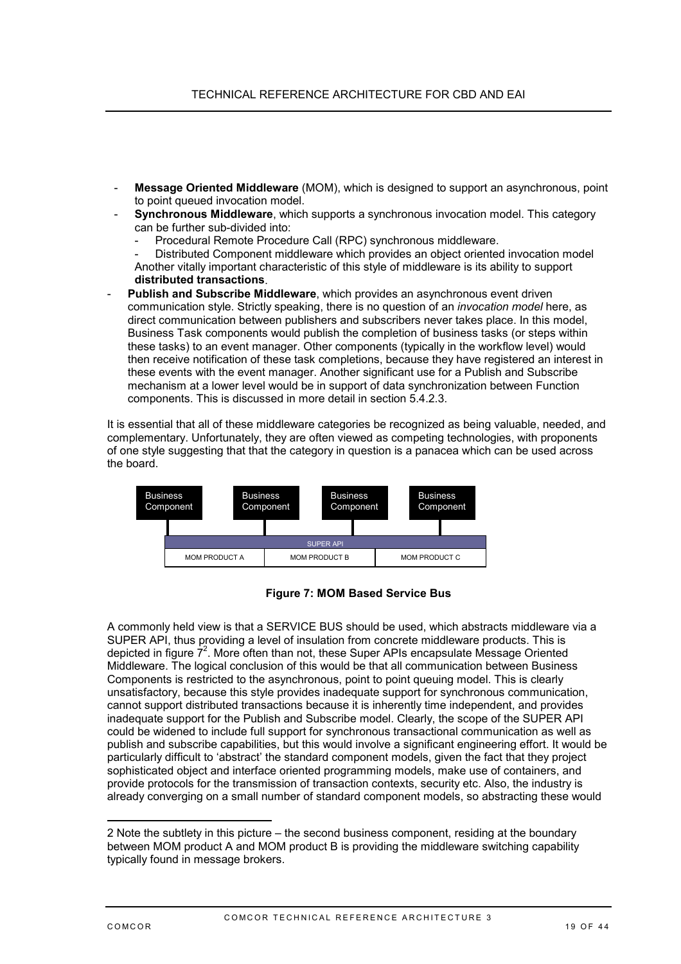- <span id="page-18-0"></span>- **Message Oriented Middleware** (MOM), which is designed to support an asynchronous, point to point queued invocation model.
- **Synchronous Middleware**, which supports a synchronous invocation model. This category can be further sub-divided into:
	- Procedural Remote Procedure Call (RPC) synchronous middleware.
	- Distributed Component middleware which provides an object oriented invocation model Another vitally important characteristic of this style of middleware is its ability to support **distributed transactions**.
- Publish and Subscribe Middleware, which provides an asynchronous event driven communication style. Strictly speaking, there is no question of an *invocation model* here, as direct communication between publishers and subscribers never takes place. In this model, Business Task components would publish the completion of business tasks (or steps within these tasks) to an event manager. Other components (typically in the workflow level) would then receive notification of these task completions, because they have registered an interest in these events with the event manager. Another significant use for a Publish and Subscribe mechanism at a lower level would be in support of data synchronization between Function components. This is discussed in more detail in section [5.4.2.3.](#page-30-0)

It is essential that all of these middleware categories be recognized as being valuable, needed, and complementary. Unfortunately, they are often viewed as competing technologies, with proponents of one style suggesting that that the category in question is a panacea which can be used across the board.



### **Figure 7: MOM Based Service Bus**

A commonly held view is that a SERVICE BUS should be used, which abstracts middleware via a SUPER API, thus providing a level of insulation from concrete middleware products. This is depicted in figure 7<sup>2</sup>. More often than not, these Super APIs encapsulate Message Oriented Middleware. The logical conclusion of this would be that all communication between Business Components is restricted to the asynchronous, point to point queuing model. This is clearly unsatisfactory, because this style provides inadequate support for synchronous communication, cannot support distributed transactions because it is inherently time independent, and provides inadequate support for the Publish and Subscribe model. Clearly, the scope of the SUPER API could be widened to include full support for synchronous transactional communication as well as publish and subscribe capabilities, but this would involve a significant engineering effort. It would be particularly difficult to 'abstract' the standard component models, given the fact that they project sophisticated object and interface oriented programming models, make use of containers, and provide protocols for the transmission of transaction contexts, security etc. Also, the industry is already converging on a small number of standard component models, so abstracting these would

<sup>2</sup> Note the subtlety in this picture – the second business component, residing at the boundary between MOM product A and MOM product B is providing the middleware switching capability typically found in message brokers.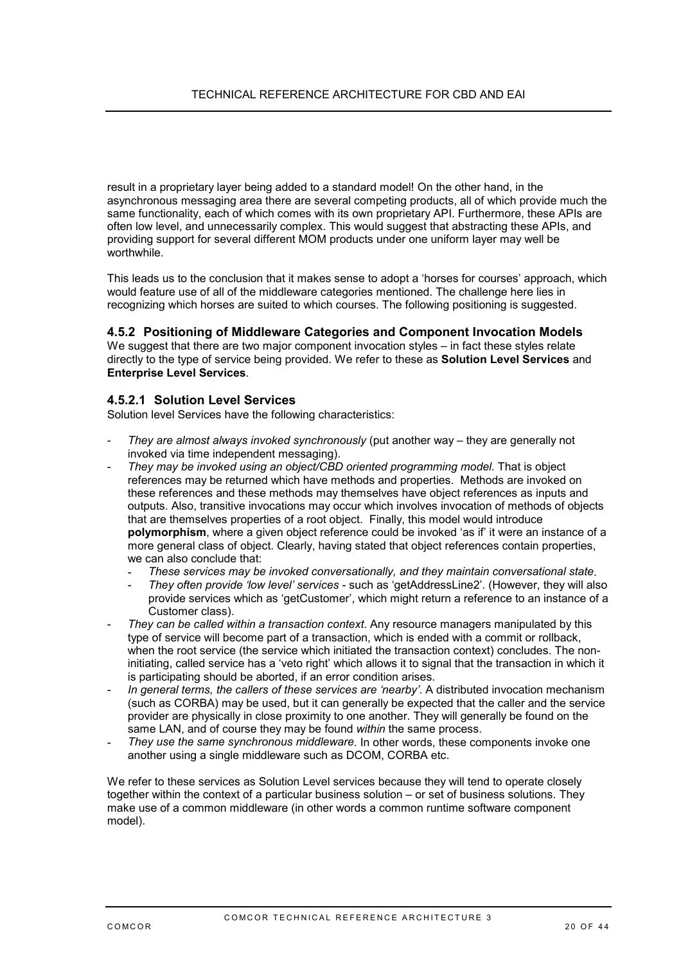result in a proprietary layer being added to a standard model! On the other hand, in the asynchronous messaging area there are several competing products, all of which provide much the same functionality, each of which comes with its own proprietary API. Furthermore, these APIs are often low level, and unnecessarily complex. This would suggest that abstracting these APIs, and providing support for several different MOM products under one uniform layer may well be worthwhile.

This leads us to the conclusion that it makes sense to adopt a 'horses for courses' approach, which would feature use of all of the middleware categories mentioned. The challenge here lies in recognizing which horses are suited to which courses. The following positioning is suggested.

#### **4.5.2 Positioning of Middleware Categories and Component Invocation Models**

We suggest that there are two major component invocation styles – in fact these styles relate directly to the type of service being provided. We refer to these as **Solution Level Services** and **Enterprise Level Services**.

#### **4.5.2.1 Solution Level Services**

Solution level Services have the following characteristics:

- *They are almost always invoked synchronously* (put another way they are generally not invoked via time independent messaging).
- *They may be invoked using an object/CBD oriented programming model*. That is object references may be returned which have methods and properties. Methods are invoked on these references and these methods may themselves have object references as inputs and outputs. Also, transitive invocations may occur which involves invocation of methods of objects that are themselves properties of a root object. Finally, this model would introduce **polymorphism**, where a given object reference could be invoked 'as if' it were an instance of a more general class of object. Clearly, having stated that object references contain properties, we can also conclude that:
	- *These services may be invoked conversationally, and they maintain conversational state*.
	- *They often provide 'low level' services* such as 'getAddressLine2'. (However, they will also provide services which as 'getCustomer', which might return a reference to an instance of a Customer class).
- They can be called within a transaction context. Any resource managers manipulated by this type of service will become part of a transaction, which is ended with a commit or rollback, when the root service (the service which initiated the transaction context) concludes. The noninitiating, called service has a 'veto right' which allows it to signal that the transaction in which it is participating should be aborted, if an error condition arises.
- In general terms, the callers of these services are 'nearby'. A distributed invocation mechanism (such as CORBA) may be used, but it can generally be expected that the caller and the service provider are physically in close proximity to one another. They will generally be found on the same LAN, and of course they may be found *within* the same process.
- *They use the same synchronous middleware*. In other words, these components invoke one another using a single middleware such as DCOM, CORBA etc.

We refer to these services as Solution Level services because they will tend to operate closely together within the context of a particular business solution – or set of business solutions. They make use of a common middleware (in other words a common runtime software component model).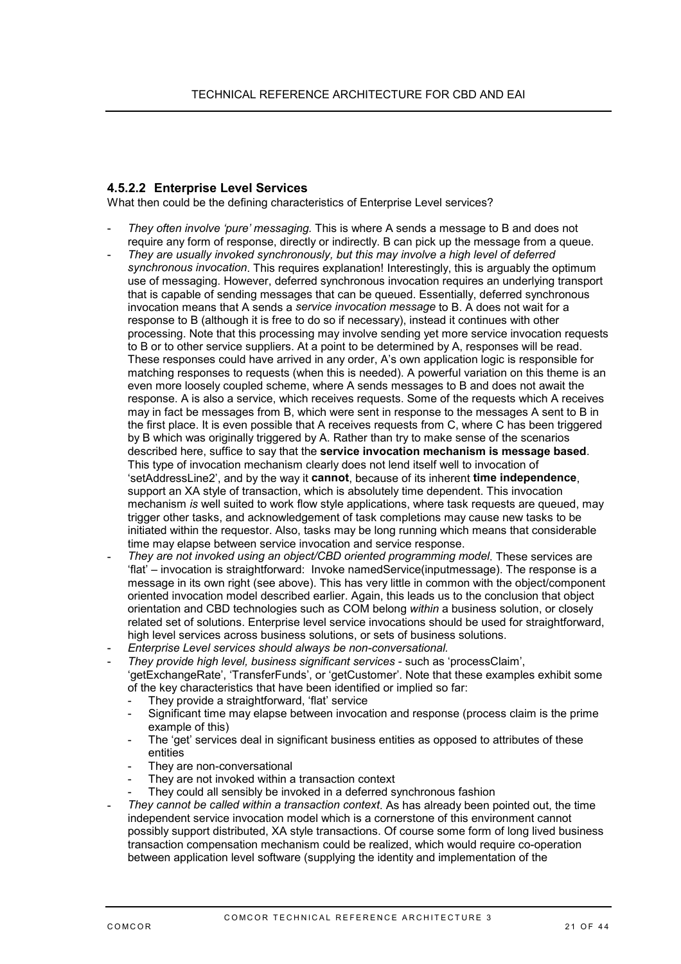### <span id="page-20-0"></span>**4.5.2.2 Enterprise Level Services**

What then could be the defining characteristics of Enterprise Level services?

- *They often involve 'pure' messaging.* This is where A sends a message to B and does not require any form of response, directly or indirectly. B can pick up the message from a queue.
- *They are usually invoked synchronously, but this may involve a high level of deferred synchronous invocation*. This requires explanation! Interestingly, this is arguably the optimum use of messaging. However, deferred synchronous invocation requires an underlying transport that is capable of sending messages that can be queued. Essentially, deferred synchronous invocation means that A sends a *service invocation message* to B. A does not wait for a response to B (although it is free to do so if necessary), instead it continues with other processing. Note that this processing may involve sending yet more service invocation requests to B or to other service suppliers. At a point to be determined by A, responses will be read. These responses could have arrived in any order, A's own application logic is responsible for matching responses to requests (when this is needed). A powerful variation on this theme is an even more loosely coupled scheme, where A sends messages to B and does not await the response. A is also a service, which receives requests. Some of the requests which A receives may in fact be messages from B, which were sent in response to the messages A sent to B in the first place. It is even possible that A receives requests from C, where C has been triggered by B which was originally triggered by A. Rather than try to make sense of the scenarios described here, suffice to say that the **service invocation mechanism is message based**. This type of invocation mechanism clearly does not lend itself well to invocation of 'setAddressLine2', and by the way it **cannot**, because of its inherent **time independence**, support an XA style of transaction, which is absolutely time dependent. This invocation mechanism *is* well suited to work flow style applications, where task requests are queued, may trigger other tasks, and acknowledgement of task completions may cause new tasks to be initiated within the requestor. Also, tasks may be long running which means that considerable time may elapse between service invocation and service response.
- *They are not invoked using an object/CBD oriented programming model*. These services are 'flat' – invocation is straightforward: Invoke namedService(inputmessage). The response is a message in its own right (see above). This has very little in common with the object/component oriented invocation model described earlier. Again, this leads us to the conclusion that object orientation and CBD technologies such as COM belong *within* a business solution, or closely related set of solutions. Enterprise level service invocations should be used for straightforward, high level services across business solutions, or sets of business solutions.
- *Enterprise Level services should always be non-conversational.*
- *They provide high level, business significant services* such as 'processClaim', 'getExchangeRate', 'TransferFunds', or 'getCustomer'. Note that these examples exhibit some of the key characteristics that have been identified or implied so far:
	- They provide a straightforward, 'flat' service
	- Significant time may elapse between invocation and response (process claim is the prime example of this)
	- The 'get' services deal in significant business entities as opposed to attributes of these entities
	- They are non-conversational
	- They are not invoked within a transaction context
	- They could all sensibly be invoked in a deferred synchronous fashion
- *They cannot be called within a transaction context*. As has already been pointed out, the time independent service invocation model which is a cornerstone of this environment cannot possibly support distributed, XA style transactions. Of course some form of long lived business transaction compensation mechanism could be realized, which would require co-operation between application level software (supplying the identity and implementation of the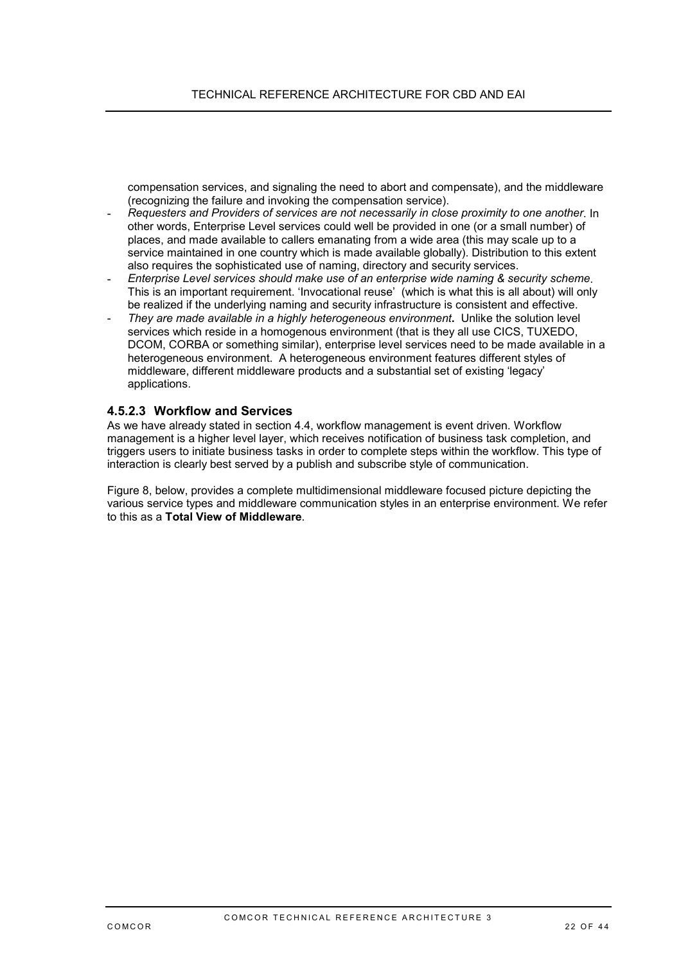compensation services, and signaling the need to abort and compensate), and the middleware (recognizing the failure and invoking the compensation service).

- *Requesters and Providers of services are not necessarily in close proximity to one another*. In other words, Enterprise Level services could well be provided in one (or a small number) of places, and made available to callers emanating from a wide area (this may scale up to a service maintained in one country which is made available globally). Distribution to this extent also requires the sophisticated use of naming, directory and security services.
- *Enterprise Level services should make use of an enterprise wide naming & security scheme*. This is an important requirement. 'Invocational reuse' (which is what this is all about) will only be realized if the underlying naming and security infrastructure is consistent and effective.
- *They are made available in a highly heterogeneous environment***.** Unlike the solution level services which reside in a homogenous environment (that is they all use CICS, TUXEDO, DCOM, CORBA or something similar), enterprise level services need to be made available in a heterogeneous environment. A heterogeneous environment features different styles of middleware, different middleware products and a substantial set of existing 'legacy' applications.

#### **4.5.2.3 Workflow and Services**

As we have already stated in section [4.4,](#page-16-0) workflow management is event driven. Workflow management is a higher level layer, which receives notification of business task completion, and triggers users to initiate business tasks in order to complete steps within the workflow. This type of interaction is clearly best served by a publish and subscribe style of communication.

Figure 8, below, provides a complete multidimensional middleware focused picture depicting the various service types and middleware communication styles in an enterprise environment. We refer to this as a **Total View of Middleware**.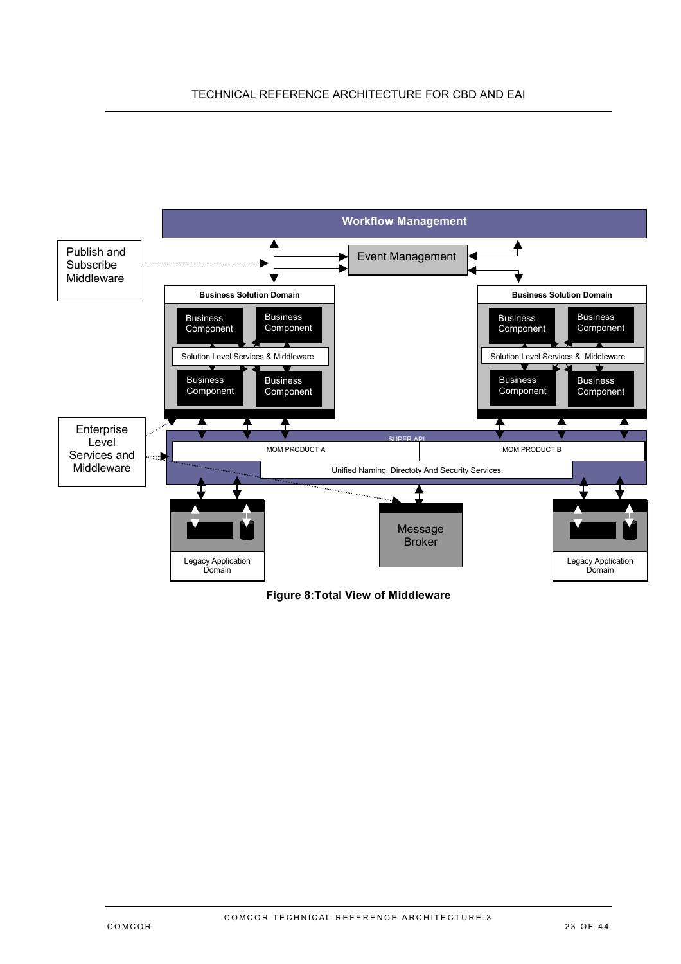### <span id="page-22-0"></span>TECHNICAL REFERENCE ARCHITECTURE FOR CBD AND EAI



### **Figure 8:Total View of Middleware**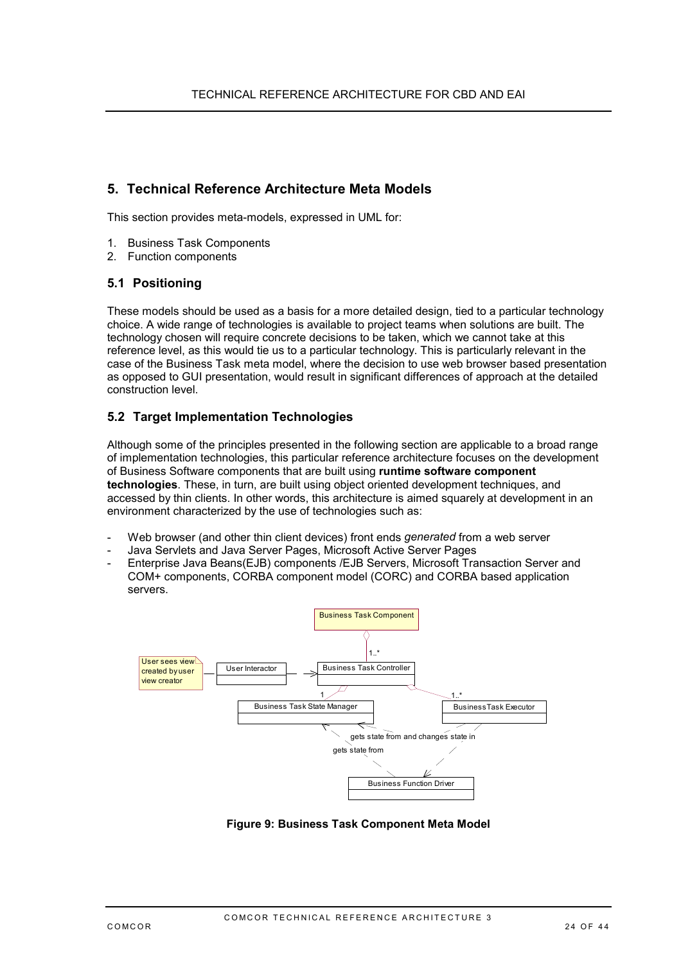## <span id="page-23-0"></span>**5. Technical Reference Architecture Meta Models**

This section provides meta-models, expressed in UML for:

- 1. Business Task Components
- 2. Function components

#### **5.1 Positioning**

These models should be used as a basis for a more detailed design, tied to a particular technology choice. A wide range of technologies is available to project teams when solutions are built. The technology chosen will require concrete decisions to be taken, which we cannot take at this reference level, as this would tie us to a particular technology. This is particularly relevant in the case of the Business Task meta model, where the decision to use web browser based presentation as opposed to GUI presentation, would result in significant differences of approach at the detailed construction level.

### **5.2 Target Implementation Technologies**

Although some of the principles presented in the following section are applicable to a broad range of implementation technologies, this particular reference architecture focuses on the development of Business Software components that are built using **runtime software component technologies**. These, in turn, are built using object oriented development techniques, and accessed by thin clients. In other words, this architecture is aimed squarely at development in an environment characterized by the use of technologies such as:

- Web browser (and other thin client devices) front ends *generated* from a web server
- Java Servlets and Java Server Pages, Microsoft Active Server Pages
- Enterprise Java Beans(EJB) components /EJB Servers, Microsoft Transaction Server and COM+ components, CORBA component model (CORC) and CORBA based application servers.



**Figure 9: Business Task Component Meta Model**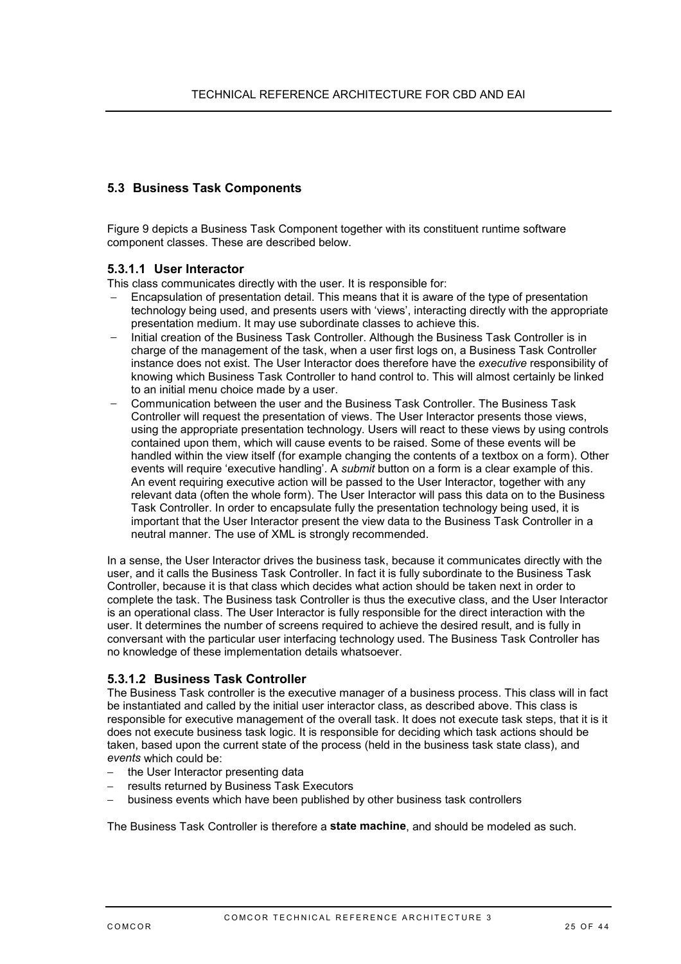### <span id="page-24-0"></span>**5.3 Business Task Components**

Figure 9 depicts a Business Task Component together with its constituent runtime software component classes. These are described below.

#### **5.3.1.1 User Interactor**

This class communicates directly with the user. It is responsible for:

- Encapsulation of presentation detail. This means that it is aware of the type of presentation technology being used, and presents users with 'views', interacting directly with the appropriate presentation medium. It may use subordinate classes to achieve this.
- − Initial creation of the Business Task Controller. Although the Business Task Controller is in charge of the management of the task, when a user first logs on, a Business Task Controller instance does not exist. The User Interactor does therefore have the *executive* responsibility of knowing which Business Task Controller to hand control to. This will almost certainly be linked to an initial menu choice made by a user.
- − Communication between the user and the Business Task Controller. The Business Task Controller will request the presentation of views. The User Interactor presents those views, using the appropriate presentation technology. Users will react to these views by using controls contained upon them, which will cause events to be raised. Some of these events will be handled within the view itself (for example changing the contents of a textbox on a form). Other events will require 'executive handling'. A *submit* button on a form is a clear example of this. An event requiring executive action will be passed to the User Interactor, together with any relevant data (often the whole form). The User Interactor will pass this data on to the Business Task Controller. In order to encapsulate fully the presentation technology being used, it is important that the User Interactor present the view data to the Business Task Controller in a neutral manner. The use of XML is strongly recommended.

In a sense, the User Interactor drives the business task, because it communicates directly with the user, and it calls the Business Task Controller. In fact it is fully subordinate to the Business Task Controller, because it is that class which decides what action should be taken next in order to complete the task. The Business task Controller is thus the executive class, and the User Interactor is an operational class. The User Interactor is fully responsible for the direct interaction with the user. It determines the number of screens required to achieve the desired result, and is fully in conversant with the particular user interfacing technology used. The Business Task Controller has no knowledge of these implementation details whatsoever.

### **5.3.1.2 Business Task Controller**

The Business Task controller is the executive manager of a business process. This class will in fact be instantiated and called by the initial user interactor class, as described above. This class is responsible for executive management of the overall task. It does not execute task steps, that it is it does not execute business task logic. It is responsible for deciding which task actions should be taken, based upon the current state of the process (held in the business task state class), and *events* which could be:

- − the User Interactor presenting data
- − results returned by Business Task Executors
- − business events which have been published by other business task controllers

The Business Task Controller is therefore a **state machine**, and should be modeled as such.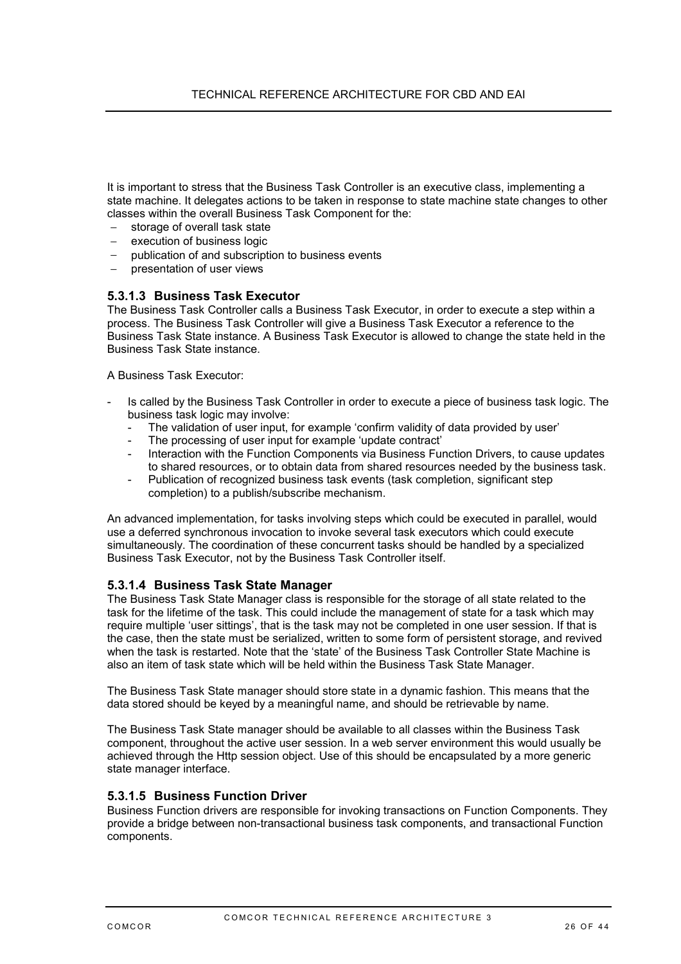It is important to stress that the Business Task Controller is an executive class, implementing a state machine. It delegates actions to be taken in response to state machine state changes to other classes within the overall Business Task Component for the:

- storage of overall task state
- execution of business logic
- publication of and subscription to business events
- − presentation of user views

#### **5.3.1.3 Business Task Executor**

The Business Task Controller calls a Business Task Executor, in order to execute a step within a process. The Business Task Controller will give a Business Task Executor a reference to the Business Task State instance. A Business Task Executor is allowed to change the state held in the Business Task State instance.

A Business Task Executor:

- Is called by the Business Task Controller in order to execute a piece of business task logic. The business task logic may involve:
- The validation of user input, for example 'confirm validity of data provided by user'
- The processing of user input for example 'update contract'
- Interaction with the Function Components via Business Function Drivers, to cause updates to shared resources, or to obtain data from shared resources needed by the business task.
- Publication of recognized business task events (task completion, significant step completion) to a publish/subscribe mechanism.

An advanced implementation, for tasks involving steps which could be executed in parallel, would use a deferred synchronous invocation to invoke several task executors which could execute simultaneously. The coordination of these concurrent tasks should be handled by a specialized Business Task Executor, not by the Business Task Controller itself.

#### **5.3.1.4 Business Task State Manager**

The Business Task State Manager class is responsible for the storage of all state related to the task for the lifetime of the task. This could include the management of state for a task which may require multiple 'user sittings', that is the task may not be completed in one user session. If that is the case, then the state must be serialized, written to some form of persistent storage, and revived when the task is restarted. Note that the 'state' of the Business Task Controller State Machine is also an item of task state which will be held within the Business Task State Manager.

The Business Task State manager should store state in a dynamic fashion. This means that the data stored should be keyed by a meaningful name, and should be retrievable by name.

The Business Task State manager should be available to all classes within the Business Task component, throughout the active user session. In a web server environment this would usually be achieved through the Http session object. Use of this should be encapsulated by a more generic state manager interface.

#### **5.3.1.5 Business Function Driver**

Business Function drivers are responsible for invoking transactions on Function Components. They provide a bridge between non-transactional business task components, and transactional Function components.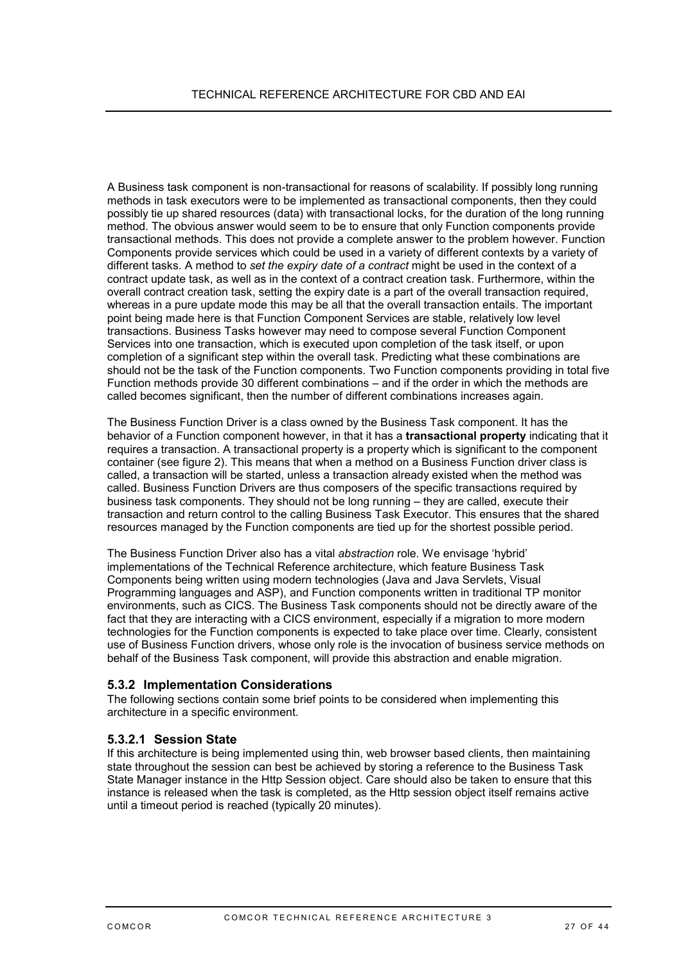A Business task component is non-transactional for reasons of scalability. If possibly long running methods in task executors were to be implemented as transactional components, then they could possibly tie up shared resources (data) with transactional locks, for the duration of the long running method. The obvious answer would seem to be to ensure that only Function components provide transactional methods. This does not provide a complete answer to the problem however. Function Components provide services which could be used in a variety of different contexts by a variety of different tasks. A method to *set the expiry date of a contract* might be used in the context of a contract update task, as well as in the context of a contract creation task. Furthermore, within the overall contract creation task, setting the expiry date is a part of the overall transaction required, whereas in a pure update mode this may be all that the overall transaction entails. The important point being made here is that Function Component Services are stable, relatively low level transactions. Business Tasks however may need to compose several Function Component Services into one transaction, which is executed upon completion of the task itself, or upon completion of a significant step within the overall task. Predicting what these combinations are should not be the task of the Function components. Two Function components providing in total five Function methods provide 30 different combinations – and if the order in which the methods are called becomes significant, then the number of different combinations increases again.

The Business Function Driver is a class owned by the Business Task component. It has the behavior of a Function component however, in that it has a **transactional property** indicating that it requires a transaction. A transactional property is a property which is significant to the component container (see figure 2). This means that when a method on a Business Function driver class is called, a transaction will be started, unless a transaction already existed when the method was called. Business Function Drivers are thus composers of the specific transactions required by business task components. They should not be long running – they are called, execute their transaction and return control to the calling Business Task Executor. This ensures that the shared resources managed by the Function components are tied up for the shortest possible period.

The Business Function Driver also has a vital *abstraction* role. We envisage 'hybrid' implementations of the Technical Reference architecture, which feature Business Task Components being written using modern technologies (Java and Java Servlets, Visual Programming languages and ASP), and Function components written in traditional TP monitor environments, such as CICS. The Business Task components should not be directly aware of the fact that they are interacting with a CICS environment, especially if a migration to more modern technologies for the Function components is expected to take place over time. Clearly, consistent use of Business Function drivers, whose only role is the invocation of business service methods on behalf of the Business Task component, will provide this abstraction and enable migration.

### **5.3.2 Implementation Considerations**

The following sections contain some brief points to be considered when implementing this architecture in a specific environment.

### **5.3.2.1 Session State**

If this architecture is being implemented using thin, web browser based clients, then maintaining state throughout the session can best be achieved by storing a reference to the Business Task State Manager instance in the Http Session object. Care should also be taken to ensure that this instance is released when the task is completed, as the Http session object itself remains active until a timeout period is reached (typically 20 minutes).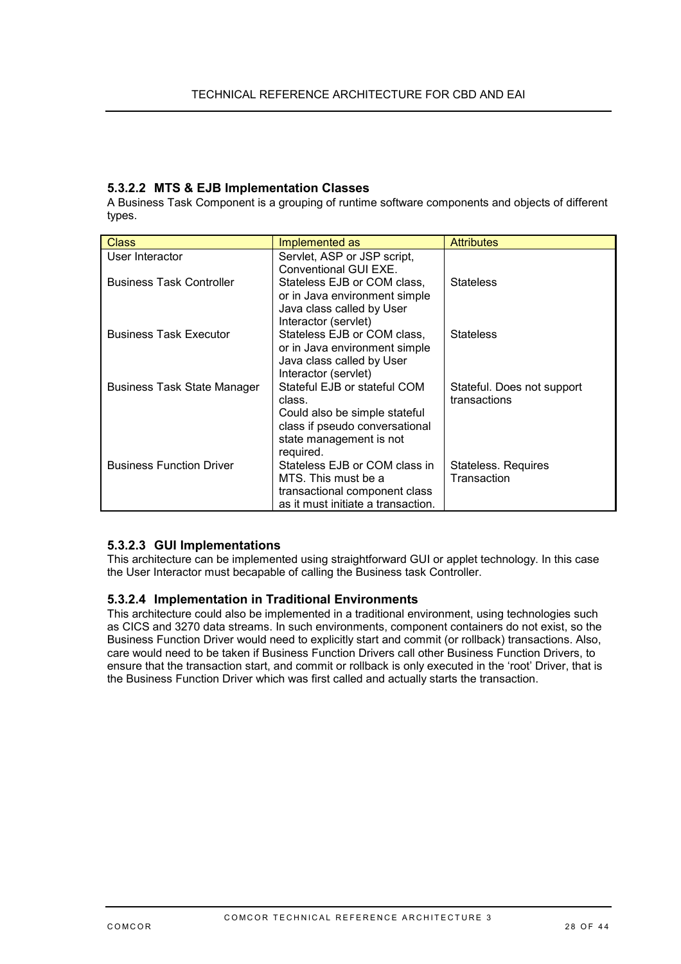### **5.3.2.2 MTS & EJB Implementation Classes**

A Business Task Component is a grouping of runtime software components and objects of different types.

| <b>Class</b>                       | Implemented as                                             | <b>Attributes</b>          |
|------------------------------------|------------------------------------------------------------|----------------------------|
| User Interactor                    | Servlet, ASP or JSP script,                                |                            |
|                                    | Conventional GUI EXE.                                      |                            |
| <b>Business Task Controller</b>    | Stateless EJB or COM class,                                | <b>Stateless</b>           |
|                                    | or in Java environment simple                              |                            |
|                                    | Java class called by User                                  |                            |
|                                    | Interactor (servlet)                                       |                            |
| <b>Business Task Executor</b>      | Stateless EJB or COM class,                                | <b>Stateless</b>           |
|                                    | or in Java environment simple<br>Java class called by User |                            |
|                                    | Interactor (servlet)                                       |                            |
| <b>Business Task State Manager</b> | Stateful EJB or stateful COM                               | Stateful. Does not support |
|                                    | class.                                                     | transactions               |
|                                    | Could also be simple stateful                              |                            |
|                                    | class if pseudo conversational                             |                            |
|                                    | state management is not                                    |                            |
|                                    | required.                                                  |                            |
| <b>Business Function Driver</b>    | Stateless EJB or COM class in                              | Stateless. Requires        |
|                                    | MTS. This must be a                                        | Transaction                |
|                                    | transactional component class                              |                            |
|                                    | as it must initiate a transaction.                         |                            |

### **5.3.2.3 GUI Implementations**

This architecture can be implemented using straightforward GUI or applet technology. In this case the User Interactor must becapable of calling the Business task Controller.

### **5.3.2.4 Implementation in Traditional Environments**

This architecture could also be implemented in a traditional environment, using technologies such as CICS and 3270 data streams. In such environments, component containers do not exist, so the Business Function Driver would need to explicitly start and commit (or rollback) transactions. Also, care would need to be taken if Business Function Drivers call other Business Function Drivers, to ensure that the transaction start, and commit or rollback is only executed in the 'root' Driver, that is the Business Function Driver which was first called and actually starts the transaction.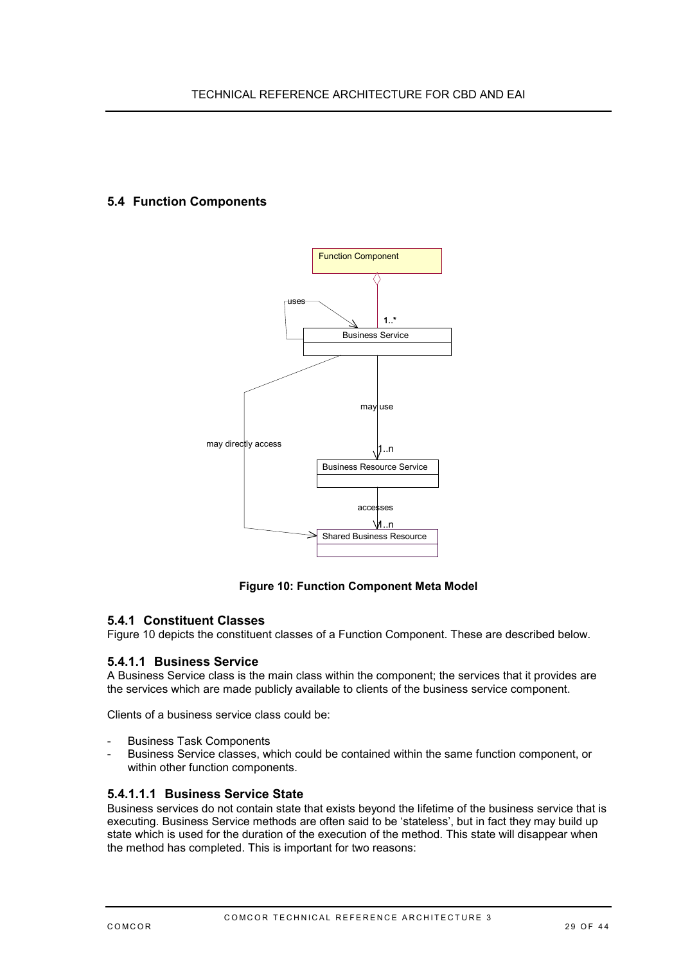### <span id="page-28-0"></span>**5.4 Function Components**



### **Figure 10: Function Component Meta Model**

#### **5.4.1 Constituent Classes**

Figure 10 depicts the constituent classes of a Function Component. These are described below.

#### **5.4.1.1 Business Service**

A Business Service class is the main class within the component; the services that it provides are the services which are made publicly available to clients of the business service component.

Clients of a business service class could be:

- Business Task Components
- Business Service classes, which could be contained within the same function component, or within other function components.

#### **5.4.1.1.1 Business Service State**

Business services do not contain state that exists beyond the lifetime of the business service that is executing. Business Service methods are often said to be 'stateless', but in fact they may build up state which is used for the duration of the execution of the method. This state will disappear when the method has completed. This is important for two reasons: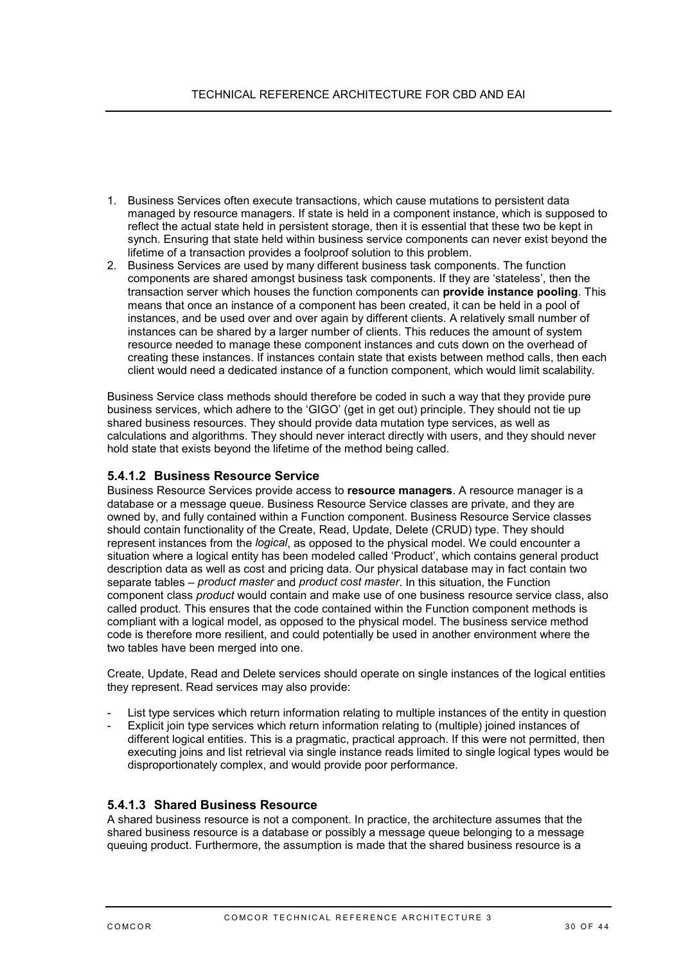- 1. Business Services often execute transactions, which cause mutations to persistent data managed by resource managers. If state is held in a component instance, which is supposed to reflect the actual state held in persistent storage, then it is essential that these two be kept in synch. Ensuring that state held within business service components can never exist beyond the lifetime of a transaction provides a foolproof solution to this problem.
- 2. Business Services are used by many different business task components. The function components are shared amongst business task components. If they are 'stateless', then the transaction server which houses the function components can **provide instance pooling**. This means that once an instance of a component has been created, it can be held in a pool of instances, and be used over and over again by different clients. A relatively small number of instances can be shared by a larger number of clients. This reduces the amount of system resource needed to manage these component instances and cuts down on the overhead of creating these instances. If instances contain state that exists between method calls, then each client would need a dedicated instance of a function component, which would limit scalability.

Business Service class methods should therefore be coded in such a way that they provide pure business services, which adhere to the 'GIGO' (get in get out) principle. They should not tie up shared business resources. They should provide data mutation type services, as well as calculations and algorithms. They should never interact directly with users, and they should never hold state that exists beyond the lifetime of the method being called.

### **5.4.1.2 Business Resource Service**

Business Resource Services provide access to **resource managers**. A resource manager is a database or a message queue. Business Resource Service classes are private, and they are owned by, and fully contained within a Function component. Business Resource Service classes should contain functionality of the Create, Read, Update, Delete (CRUD) type. They should represent instances from the *logical*, as opposed to the physical model. We could encounter a situation where a logical entity has been modeled called 'Product', which contains general product description data as well as cost and pricing data. Our physical database may in fact contain two separate tables – *product master* and *product cost master*. In this situation, the Function component class *product* would contain and make use of one business resource service class, also called product. This ensures that the code contained within the Function component methods is compliant with a logical model, as opposed to the physical model. The business service method code is therefore more resilient, and could potentially be used in another environment where the two tables have been merged into one.

Create, Update, Read and Delete services should operate on single instances of the logical entities they represent. Read services may also provide:

- List type services which return information relating to multiple instances of the entity in question
- Explicit join type services which return information relating to (multiple) joined instances of different logical entities. This is a pragmatic, practical approach. If this were not permitted, then executing joins and list retrieval via single instance reads limited to single logical types would be disproportionately complex, and would provide poor performance.

#### **5.4.1.3 Shared Business Resource**

A shared business resource is not a component. In practice, the architecture assumes that the shared business resource is a database or possibly a message queue belonging to a message queuing product. Furthermore, the assumption is made that the shared business resource is a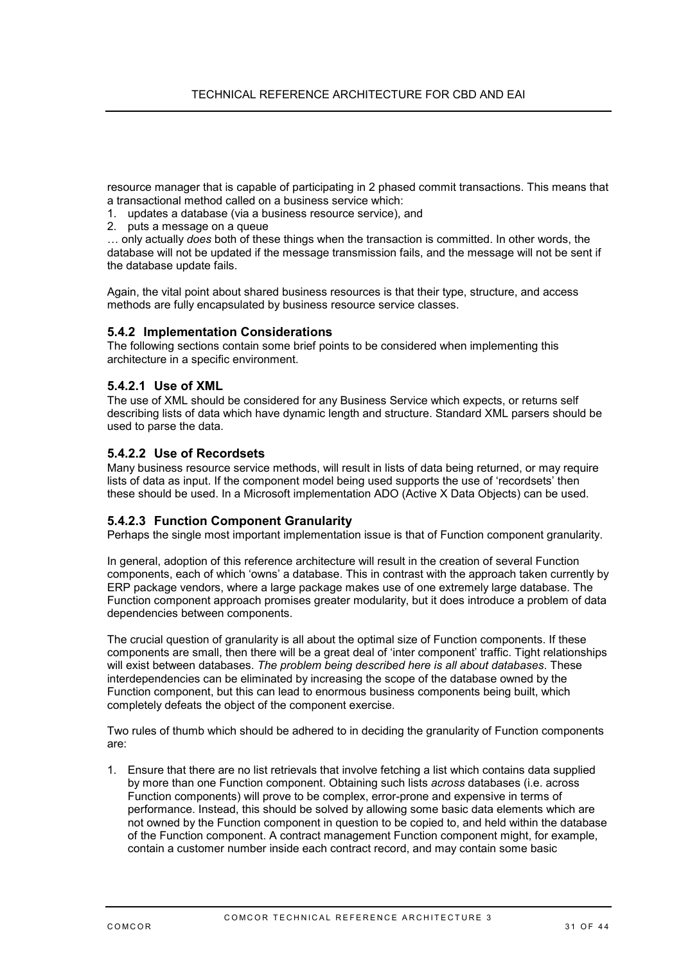<span id="page-30-0"></span>resource manager that is capable of participating in 2 phased commit transactions. This means that a transactional method called on a business service which:

- 1. updates a database (via a business resource service), and
- 2. puts a message on a queue

… only actually *does* both of these things when the transaction is committed. In other words, the database will not be updated if the message transmission fails, and the message will not be sent if the database update fails.

Again, the vital point about shared business resources is that their type, structure, and access methods are fully encapsulated by business resource service classes.

#### **5.4.2 Implementation Considerations**

The following sections contain some brief points to be considered when implementing this architecture in a specific environment.

#### **5.4.2.1 Use of XML**

The use of XML should be considered for any Business Service which expects, or returns self describing lists of data which have dynamic length and structure. Standard XML parsers should be used to parse the data.

#### **5.4.2.2 Use of Recordsets**

Many business resource service methods, will result in lists of data being returned, or may require lists of data as input. If the component model being used supports the use of 'recordsets' then these should be used. In a Microsoft implementation ADO (Active X Data Objects) can be used.

#### **5.4.2.3 Function Component Granularity**

Perhaps the single most important implementation issue is that of Function component granularity.

In general, adoption of this reference architecture will result in the creation of several Function components, each of which 'owns' a database. This in contrast with the approach taken currently by ERP package vendors, where a large package makes use of one extremely large database. The Function component approach promises greater modularity, but it does introduce a problem of data dependencies between components.

The crucial question of granularity is all about the optimal size of Function components. If these components are small, then there will be a great deal of 'inter component' traffic. Tight relationships will exist between databases. *The problem being described here is all about databases*. These interdependencies can be eliminated by increasing the scope of the database owned by the Function component, but this can lead to enormous business components being built, which completely defeats the object of the component exercise.

Two rules of thumb which should be adhered to in deciding the granularity of Function components are:

1. Ensure that there are no list retrievals that involve fetching a list which contains data supplied by more than one Function component. Obtaining such lists *across* databases (i.e. across Function components) will prove to be complex, error-prone and expensive in terms of performance. Instead, this should be solved by allowing some basic data elements which are not owned by the Function component in question to be copied to, and held within the database of the Function component. A contract management Function component might, for example, contain a customer number inside each contract record, and may contain some basic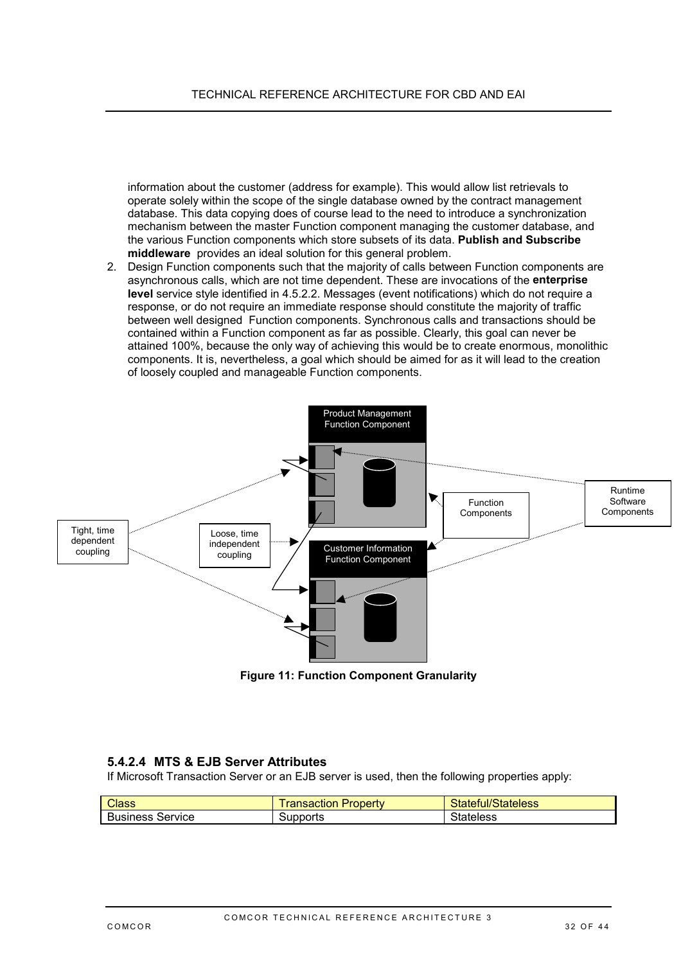<span id="page-31-0"></span>information about the customer (address for example). This would allow list retrievals to operate solely within the scope of the single database owned by the contract management database. This data copying does of course lead to the need to introduce a synchronization mechanism between the master Function component managing the customer database, and the various Function components which store subsets of its data. **Publish and Subscribe middleware** provides an ideal solution for this general problem.

2. Design Function components such that the majority of calls between Function components are asynchronous calls, which are not time dependent. These are invocations of the **enterprise level** service style identified in [4.5.2.2.](#page-20-0) Messages (event notifications) which do not require a response, or do not require an immediate response should constitute the majority of traffic between well designed Function components. Synchronous calls and transactions should be contained within a Function component as far as possible. Clearly, this goal can never be attained 100%, because the only way of achieving this would be to create enormous, monolithic components. It is, nevertheless, a goal which should be aimed for as it will lead to the creation of loosely coupled and manageable Function components.



**Figure 11: Function Component Granularity**

### **5.4.2.4 MTS & EJB Server Attributes**

If Microsoft Transaction Server or an EJB server is used, then the following properties apply:

| <b>Class</b>               | -<br><b>Property</b><br>ransaction | <b>Claime</b><br>Stateful/Stateless |
|----------------------------|------------------------------------|-------------------------------------|
| Service<br><b>Business</b> | Supports                           | Stateless                           |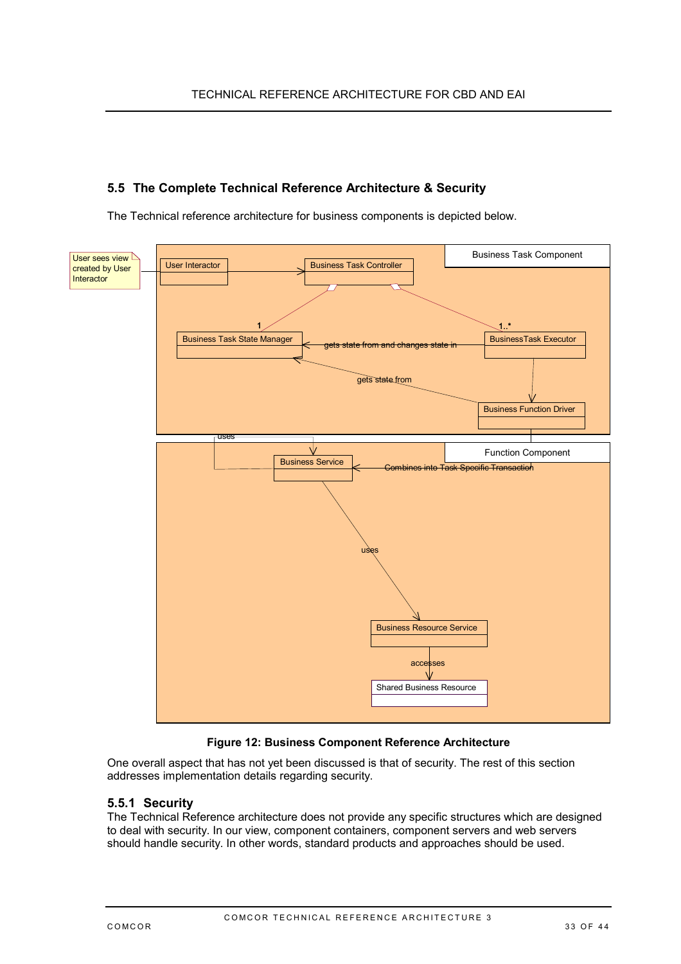## <span id="page-32-0"></span>**5.5 The Complete Technical Reference Architecture & Security**

The Technical reference architecture for business components is depicted below.



#### **Figure 12: Business Component Reference Architecture**

One overall aspect that has not yet been discussed is that of security. The rest of this section addresses implementation details regarding security.

### **5.5.1 Security**

The Technical Reference architecture does not provide any specific structures which are designed to deal with security. In our view, component containers, component servers and web servers should handle security. In other words, standard products and approaches should be used.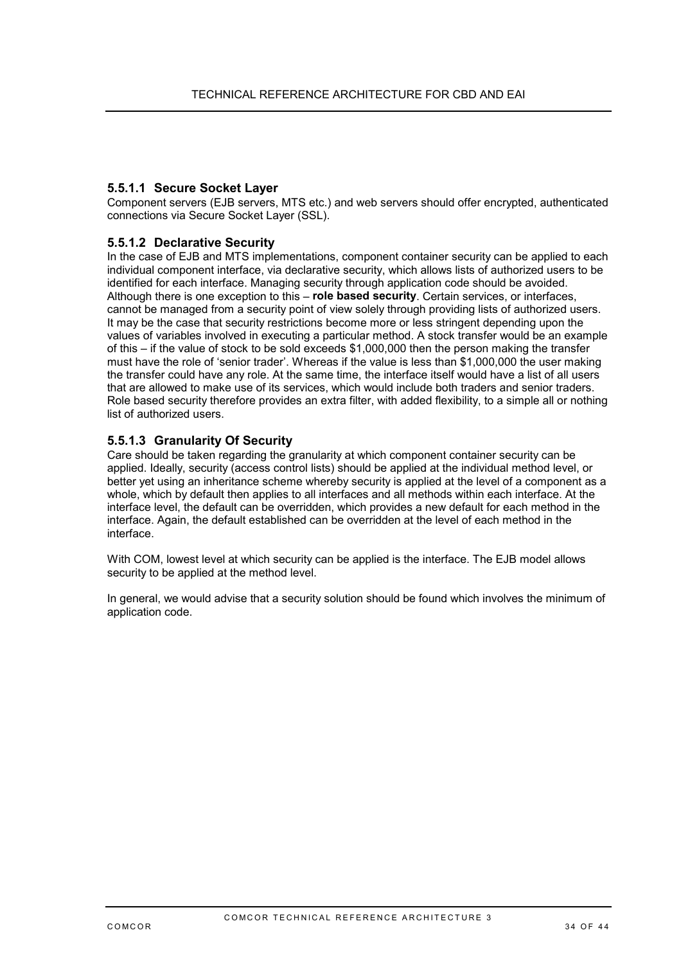### **5.5.1.1 Secure Socket Layer**

Component servers (EJB servers, MTS etc.) and web servers should offer encrypted, authenticated connections via Secure Socket Layer (SSL).

### **5.5.1.2 Declarative Security**

In the case of EJB and MTS implementations, component container security can be applied to each individual component interface, via declarative security, which allows lists of authorized users to be identified for each interface. Managing security through application code should be avoided. Although there is one exception to this – **role based security**. Certain services, or interfaces, cannot be managed from a security point of view solely through providing lists of authorized users. It may be the case that security restrictions become more or less stringent depending upon the values of variables involved in executing a particular method. A stock transfer would be an example of this – if the value of stock to be sold exceeds \$1,000,000 then the person making the transfer must have the role of 'senior trader'. Whereas if the value is less than \$1,000,000 the user making the transfer could have any role. At the same time, the interface itself would have a list of all users that are allowed to make use of its services, which would include both traders and senior traders. Role based security therefore provides an extra filter, with added flexibility, to a simple all or nothing list of authorized users.

### **5.5.1.3 Granularity Of Security**

Care should be taken regarding the granularity at which component container security can be applied. Ideally, security (access control lists) should be applied at the individual method level, or better yet using an inheritance scheme whereby security is applied at the level of a component as a whole, which by default then applies to all interfaces and all methods within each interface. At the interface level, the default can be overridden, which provides a new default for each method in the interface. Again, the default established can be overridden at the level of each method in the interface.

With COM, lowest level at which security can be applied is the interface. The EJB model allows security to be applied at the method level.

In general, we would advise that a security solution should be found which involves the minimum of application code.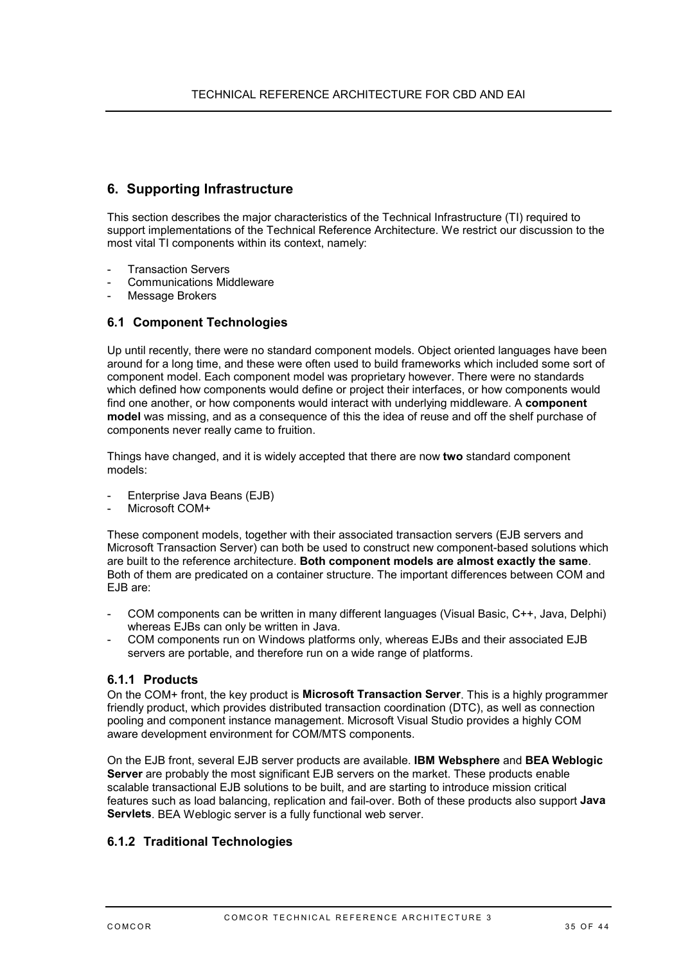## <span id="page-34-0"></span>**6. Supporting Infrastructure**

This section describes the major characteristics of the Technical Infrastructure (TI) required to support implementations of the Technical Reference Architecture. We restrict our discussion to the most vital TI components within its context, namely:

- **Transaction Servers**
- Communications Middleware
- Message Brokers

### **6.1 Component Technologies**

Up until recently, there were no standard component models. Object oriented languages have been around for a long time, and these were often used to build frameworks which included some sort of component model. Each component model was proprietary however. There were no standards which defined how components would define or project their interfaces, or how components would find one another, or how components would interact with underlying middleware. A **component model** was missing, and as a consequence of this the idea of reuse and off the shelf purchase of components never really came to fruition.

Things have changed, and it is widely accepted that there are now **two** standard component models:

- Enterprise Java Beans (EJB)
- Microsoft COM+

These component models, together with their associated transaction servers (EJB servers and Microsoft Transaction Server) can both be used to construct new component-based solutions which are built to the reference architecture. **Both component models are almost exactly the same**. Both of them are predicated on a container structure. The important differences between COM and EJB are:

- COM components can be written in many different languages (Visual Basic, C++, Java, Delphi) whereas EJBs can only be written in Java.
- COM components run on Windows platforms only, whereas EJBs and their associated EJB servers are portable, and therefore run on a wide range of platforms.

### **6.1.1 Products**

On the COM+ front, the key product is **Microsoft Transaction Server**. This is a highly programmer friendly product, which provides distributed transaction coordination (DTC), as well as connection pooling and component instance management. Microsoft Visual Studio provides a highly COM aware development environment for COM/MTS components.

On the EJB front, several EJB server products are available. **IBM Websphere** and **BEA Weblogic Server** are probably the most significant EJB servers on the market. These products enable scalable transactional EJB solutions to be built, and are starting to introduce mission critical features such as load balancing, replication and fail-over. Both of these products also support **Java Servlets**. BEA Weblogic server is a fully functional web server.

## **6.1.2 Traditional Technologies**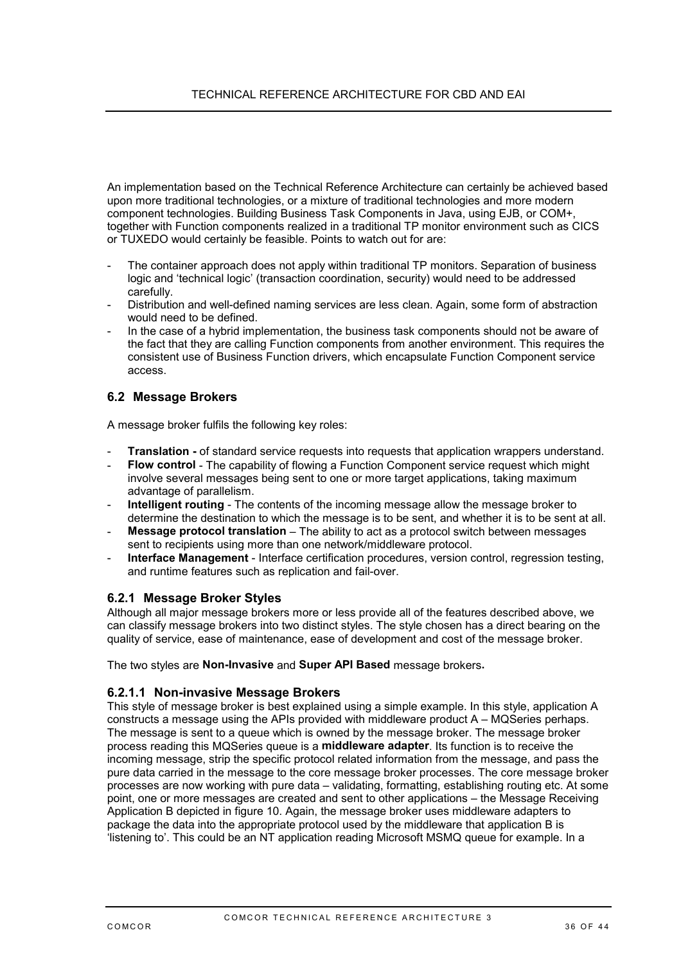<span id="page-35-0"></span>An implementation based on the Technical Reference Architecture can certainly be achieved based upon more traditional technologies, or a mixture of traditional technologies and more modern component technologies. Building Business Task Components in Java, using EJB, or COM+, together with Function components realized in a traditional TP monitor environment such as CICS or TUXEDO would certainly be feasible. Points to watch out for are:

- The container approach does not apply within traditional TP monitors. Separation of business logic and 'technical logic' (transaction coordination, security) would need to be addressed carefully.
- Distribution and well-defined naming services are less clean. Again, some form of abstraction would need to be defined.
- In the case of a hybrid implementation, the business task components should not be aware of the fact that they are calling Function components from another environment. This requires the consistent use of Business Function drivers, which encapsulate Function Component service access.

### **6.2 Message Brokers**

A message broker fulfils the following key roles:

- **Translation** of standard service requests into requests that application wrappers understand.
- **Flow control** The capability of flowing a Function Component service request which might involve several messages being sent to one or more target applications, taking maximum advantage of parallelism.
- **Intelligent routing** The contents of the incoming message allow the message broker to determine the destination to which the message is to be sent, and whether it is to be sent at all.
- Message protocol translation The ability to act as a protocol switch between messages sent to recipients using more than one network/middleware protocol.
- **Interface Management** Interface certification procedures, version control, regression testing, and runtime features such as replication and fail-over.

### **6.2.1 Message Broker Styles**

Although all major message brokers more or less provide all of the features described above, we can classify message brokers into two distinct styles. The style chosen has a direct bearing on the quality of service, ease of maintenance, ease of development and cost of the message broker.

The two styles are **Non-Invasive** and **Super API Based** message brokers**.**

### **6.2.1.1 Non-invasive Message Brokers**

This style of message broker is best explained using a simple example. In this style, application A constructs a message using the APIs provided with middleware product A – MQSeries perhaps. The message is sent to a queue which is owned by the message broker. The message broker process reading this MQSeries queue is a **middleware adapter**. Its function is to receive the incoming message, strip the specific protocol related information from the message, and pass the pure data carried in the message to the core message broker processes. The core message broker processes are now working with pure data – validating, formatting, establishing routing etc. At some point, one or more messages are created and sent to other applications – the Message Receiving Application B depicted in figure 10. Again, the message broker uses middleware adapters to package the data into the appropriate protocol used by the middleware that application B is 'listening to'. This could be an NT application reading Microsoft MSMQ queue for example. In a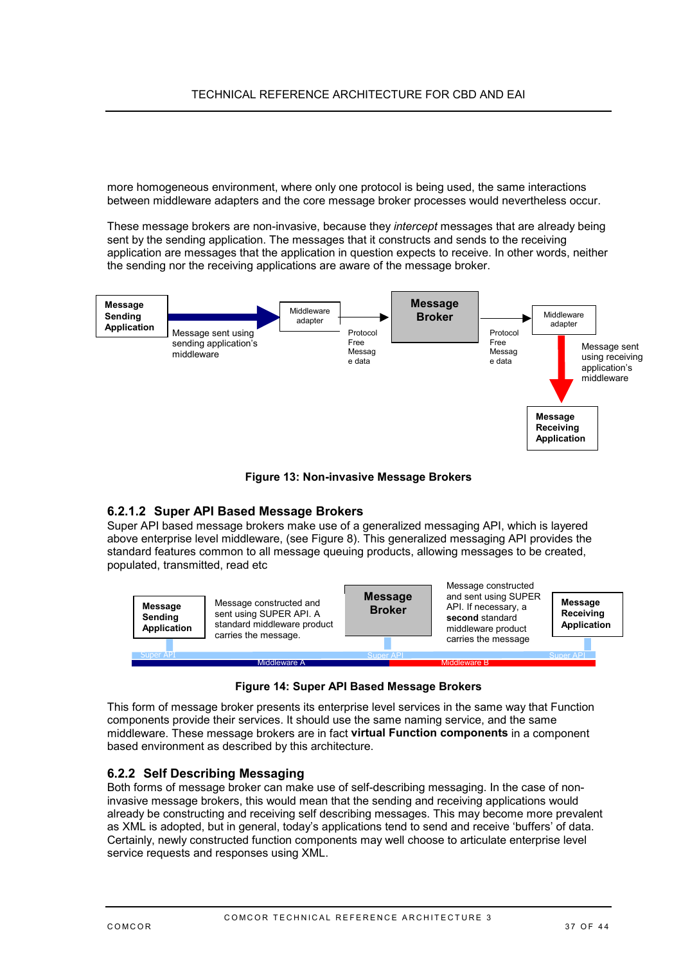<span id="page-36-0"></span>more homogeneous environment, where only one protocol is being used, the same interactions between middleware adapters and the core message broker processes would nevertheless occur.

These message brokers are non-invasive, because they *intercept* messages that are already being sent by the sending application. The messages that it constructs and sends to the receiving application are messages that the application in question expects to receive. In other words, neither the sending nor the receiving applications are aware of the message broker.



**Figure 13: Non-invasive Message Brokers**

### **6.2.1.2 Super API Based Message Brokers**

Super API based message brokers make use of a generalized messaging API, which is layered above enterprise level middleware, (see [Figure 8\)](#page-22-0). This generalized messaging API provides the standard features common to all message queuing products, allowing messages to be created, populated, transmitted, read etc



**Figure 14: Super API Based Message Brokers**

This form of message broker presents its enterprise level services in the same way that Function components provide their services. It should use the same naming service, and the same middleware. These message brokers are in fact **virtual Function components** in a component based environment as described by this architecture.

### **6.2.2 Self Describing Messaging**

Both forms of message broker can make use of self-describing messaging. In the case of noninvasive message brokers, this would mean that the sending and receiving applications would already be constructing and receiving self describing messages. This may become more prevalent as XML is adopted, but in general, today's applications tend to send and receive 'buffers' of data. Certainly, newly constructed function components may well choose to articulate enterprise level service requests and responses using XML.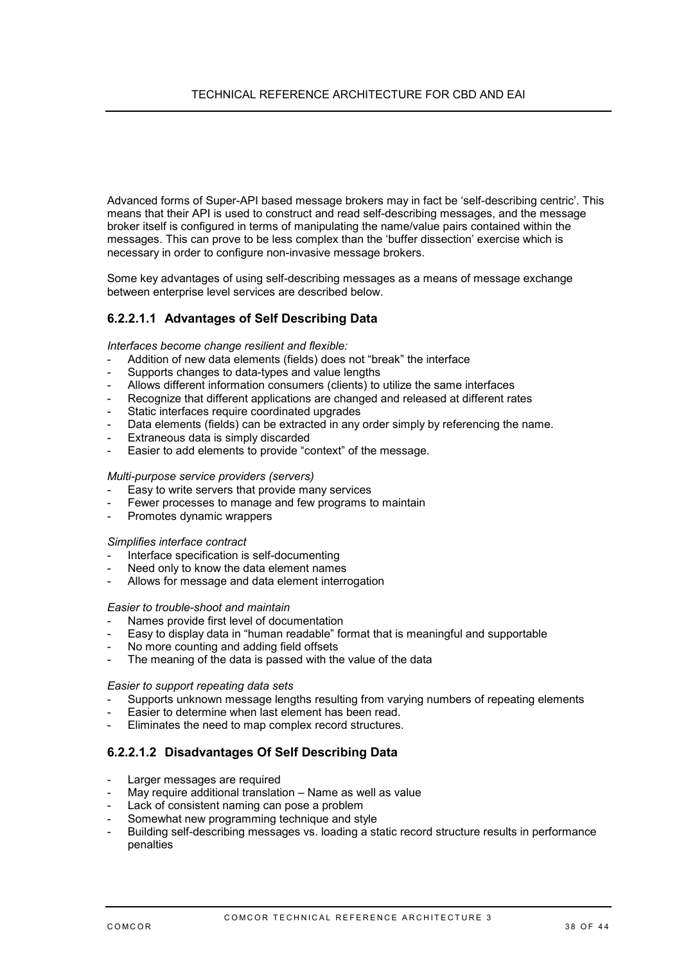Advanced forms of Super-API based message brokers may in fact be 'self-describing centric'. This means that their API is used to construct and read self-describing messages, and the message broker itself is configured in terms of manipulating the name/value pairs contained within the messages. This can prove to be less complex than the 'buffer dissection' exercise which is necessary in order to configure non-invasive message brokers.

Some key advantages of using self-describing messages as a means of message exchange between enterprise level services are described below.

### **6.2.2.1.1 Advantages of Self Describing Data**

*Interfaces become change resilient and flexible:*

- Addition of new data elements (fields) does not "break" the interface
- Supports changes to data-types and value lengths
- Allows different information consumers (clients) to utilize the same interfaces
- Recognize that different applications are changed and released at different rates
- Static interfaces require coordinated upgrades
- Data elements (fields) can be extracted in any order simply by referencing the name.
- Extraneous data is simply discarded
- Easier to add elements to provide "context" of the message.

#### *Multi-purpose service providers (servers)*

- Easy to write servers that provide many services
- Fewer processes to manage and few programs to maintain
- Promotes dynamic wrappers

#### *Simplifies interface contract*

- Interface specification is self-documenting
- Need only to know the data element names
- Allows for message and data element interrogation

#### *Easier to trouble-shoot and maintain*

- Names provide first level of documentation
- Easy to display data in "human readable" format that is meaningful and supportable
- No more counting and adding field offsets
- The meaning of the data is passed with the value of the data

#### *Easier to support repeating data sets*

- Supports unknown message lengths resulting from varying numbers of repeating elements
- Easier to determine when last element has been read.
- Eliminates the need to map complex record structures.

### **6.2.2.1.2 Disadvantages Of Self Describing Data**

- Larger messages are required
- May require additional translation Name as well as value
- Lack of consistent naming can pose a problem
- Somewhat new programming technique and style
- Building self-describing messages vs. loading a static record structure results in performance penalties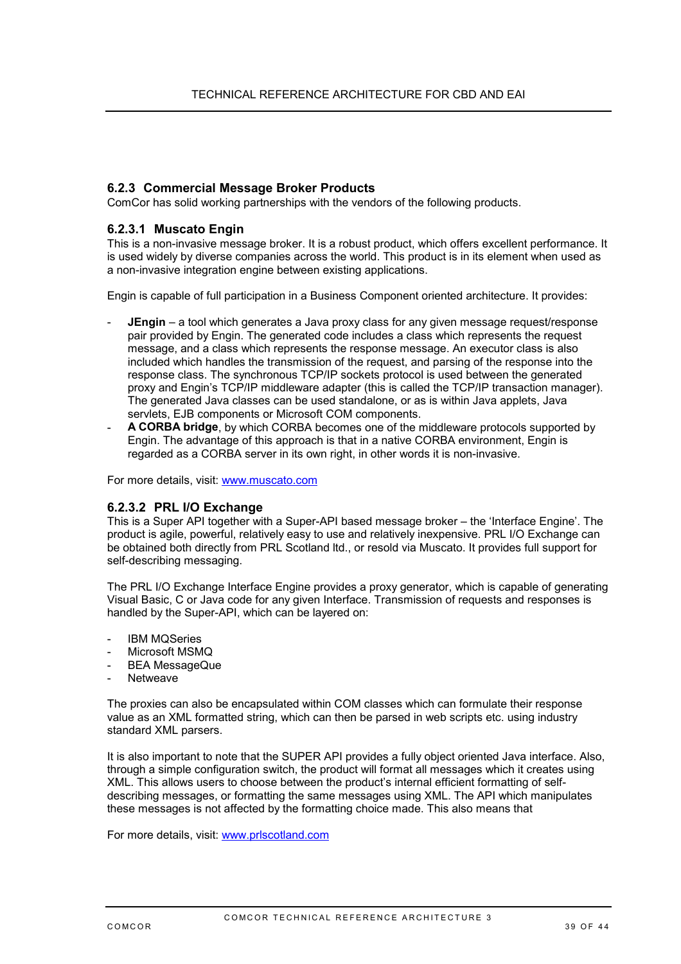### **6.2.3 Commercial Message Broker Products**

ComCor has solid working partnerships with the vendors of the following products.

#### **6.2.3.1 Muscato Engin**

This is a non-invasive message broker. It is a robust product, which offers excellent performance. It is used widely by diverse companies across the world. This product is in its element when used as a non-invasive integration engine between existing applications.

Engin is capable of full participation in a Business Component oriented architecture. It provides:

- **JEngin** a tool which generates a Java proxy class for any given message request/response pair provided by Engin. The generated code includes a class which represents the request message, and a class which represents the response message. An executor class is also included which handles the transmission of the request, and parsing of the response into the response class. The synchronous TCP/IP sockets protocol is used between the generated proxy and Engin's TCP/IP middleware adapter (this is called the TCP/IP transaction manager). The generated Java classes can be used standalone, or as is within Java applets, Java servlets, EJB components or Microsoft COM components.
- **A CORBA bridge**, by which CORBA becomes one of the middleware protocols supported by Engin. The advantage of this approach is that in a native CORBA environment, Engin is regarded as a CORBA server in its own right, in other words it is non-invasive.

For more details, visit: <www.muscato.com>

#### **6.2.3.2 PRL I/O Exchange**

This is a Super API together with a Super-API based message broker – the 'Interface Engine'. The product is agile, powerful, relatively easy to use and relatively inexpensive. PRL I/O Exchange can be obtained both directly from PRL Scotland ltd., or resold via Muscato. It provides full support for self-describing messaging.

The PRL I/O Exchange Interface Engine provides a proxy generator, which is capable of generating Visual Basic, C or Java code for any given Interface. Transmission of requests and responses is handled by the Super-API, which can be layered on:

- **IBM MQSeries**
- Microsoft MSMQ
- BEA MessageQue
- **Netweave**

The proxies can also be encapsulated within COM classes which can formulate their response value as an XML formatted string, which can then be parsed in web scripts etc. using industry standard XML parsers.

It is also important to note that the SUPER API provides a fully object oriented Java interface. Also, through a simple configuration switch, the product will format all messages which it creates using XML. This allows users to choose between the product's internal efficient formatting of selfdescribing messages, or formatting the same messages using XML. The API which manipulates these messages is not affected by the formatting choice made. This also means that

For more details, visit: <www.prlscotland.com>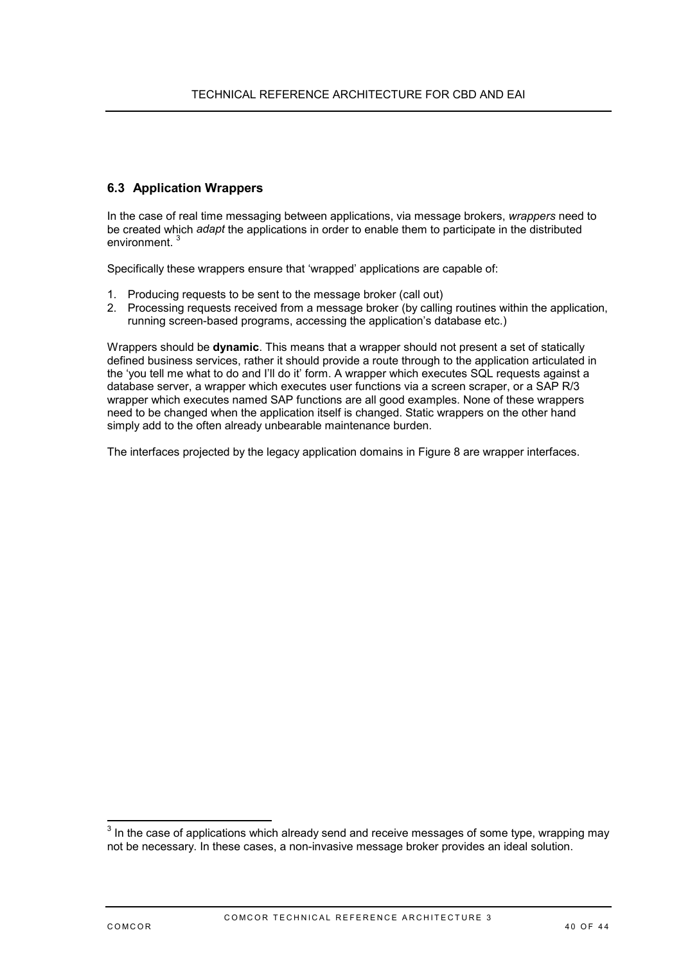### <span id="page-39-0"></span>**6.3 Application Wrappers**

In the case of real time messaging between applications, via message brokers, *wrappers* need to be created which *adapt* the applications in order to enable them to participate in the distributed environment.<sup>3</sup>

Specifically these wrappers ensure that 'wrapped' applications are capable of:

- 1. Producing requests to be sent to the message broker (call out)
- 2. Processing requests received from a message broker (by calling routines within the application, running screen-based programs, accessing the application's database etc.)

Wrappers should be **dynamic**. This means that a wrapper should not present a set of statically defined business services, rather it should provide a route through to the application articulated in the 'you tell me what to do and I'll do it' form. A wrapper which executes SQL requests against a database server, a wrapper which executes user functions via a screen scraper, or a SAP R/3 wrapper which executes named SAP functions are all good examples. None of these wrappers need to be changed when the application itself is changed. Static wrappers on the other hand simply add to the often already unbearable maintenance burden.

The interfaces projected by the legacy application domains in [Figure 8 a](#page-22-0)re wrapper interfaces.

 $\frac{3}{3}$  In the case of applications which already send and receive messages of some type, wrapping may not be necessary. In these cases, a non-invasive message broker provides an ideal solution.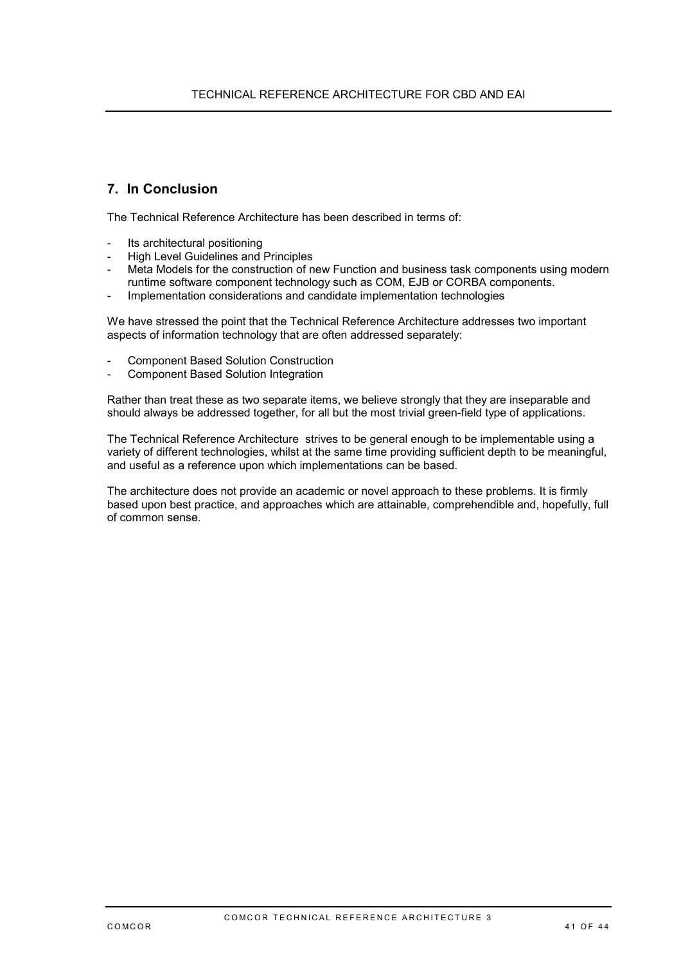## <span id="page-40-0"></span>**7. In Conclusion**

The Technical Reference Architecture has been described in terms of:

- Its architectural positioning
- High Level Guidelines and Principles
- Meta Models for the construction of new Function and business task components using modern runtime software component technology such as COM, EJB or CORBA components.
- Implementation considerations and candidate implementation technologies

We have stressed the point that the Technical Reference Architecture addresses two important aspects of information technology that are often addressed separately:

- Component Based Solution Construction
- Component Based Solution Integration

Rather than treat these as two separate items, we believe strongly that they are inseparable and should always be addressed together, for all but the most trivial green-field type of applications.

The Technical Reference Architecture strives to be general enough to be implementable using a variety of different technologies, whilst at the same time providing sufficient depth to be meaningful, and useful as a reference upon which implementations can be based.

The architecture does not provide an academic or novel approach to these problems. It is firmly based upon best practice, and approaches which are attainable, comprehendible and, hopefully, full of common sense.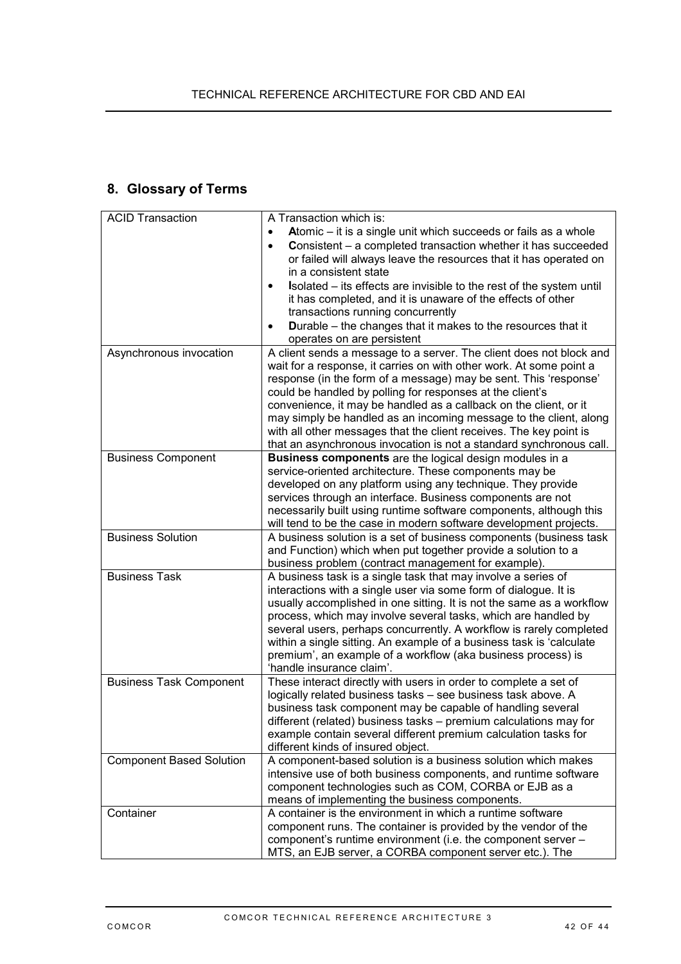# <span id="page-41-0"></span>**8. Glossary of Terms**

| <b>ACID Transaction</b>         | A Transaction which is:                                                                                                             |
|---------------------------------|-------------------------------------------------------------------------------------------------------------------------------------|
|                                 | Atomic - it is a single unit which succeeds or fails as a whole                                                                     |
|                                 | <b>Consistent</b> – a completed transaction whether it has succeeded<br>$\bullet$                                                   |
|                                 | or failed will always leave the resources that it has operated on                                                                   |
|                                 | in a consistent state                                                                                                               |
|                                 | Isolated – its effects are invisible to the rest of the system until                                                                |
|                                 | it has completed, and it is unaware of the effects of other                                                                         |
|                                 | transactions running concurrently                                                                                                   |
|                                 | <b>Durable</b> – the changes that it makes to the resources that it<br>٠                                                            |
|                                 | operates on are persistent                                                                                                          |
| Asynchronous invocation         | A client sends a message to a server. The client does not block and                                                                 |
|                                 | wait for a response, it carries on with other work. At some point a                                                                 |
|                                 | response (in the form of a message) may be sent. This 'response'                                                                    |
|                                 | could be handled by polling for responses at the client's                                                                           |
|                                 | convenience, it may be handled as a callback on the client, or it                                                                   |
|                                 | may simply be handled as an incoming message to the client, along                                                                   |
|                                 | with all other messages that the client receives. The key point is                                                                  |
|                                 | that an asynchronous invocation is not a standard synchronous call.                                                                 |
| <b>Business Component</b>       | Business components are the logical design modules in a                                                                             |
|                                 | service-oriented architecture. These components may be                                                                              |
|                                 | developed on any platform using any technique. They provide                                                                         |
|                                 | services through an interface. Business components are not                                                                          |
|                                 | necessarily built using runtime software components, although this                                                                  |
|                                 | will tend to be the case in modern software development projects.                                                                   |
| <b>Business Solution</b>        | A business solution is a set of business components (business task<br>and Function) which when put together provide a solution to a |
|                                 | business problem (contract management for example).                                                                                 |
| <b>Business Task</b>            | A business task is a single task that may involve a series of                                                                       |
|                                 | interactions with a single user via some form of dialogue. It is                                                                    |
|                                 | usually accomplished in one sitting. It is not the same as a workflow                                                               |
|                                 | process, which may involve several tasks, which are handled by                                                                      |
|                                 | several users, perhaps concurrently. A workflow is rarely completed                                                                 |
|                                 | within a single sitting. An example of a business task is 'calculate                                                                |
|                                 | premium', an example of a workflow (aka business process) is                                                                        |
|                                 | 'handle insurance claim'.                                                                                                           |
| <b>Business Task Component</b>  | These interact directly with users in order to complete a set of                                                                    |
|                                 | logically related business tasks - see business task above. A                                                                       |
|                                 | business task component may be capable of handling several                                                                          |
|                                 | different (related) business tasks - premium calculations may for                                                                   |
|                                 | example contain several different premium calculation tasks for                                                                     |
|                                 | different kinds of insured object.                                                                                                  |
| <b>Component Based Solution</b> | A component-based solution is a business solution which makes                                                                       |
|                                 | intensive use of both business components, and runtime software                                                                     |
|                                 | component technologies such as COM, CORBA or EJB as a                                                                               |
|                                 | means of implementing the business components.                                                                                      |
| Container                       | A container is the environment in which a runtime software                                                                          |
|                                 | component runs. The container is provided by the vendor of the                                                                      |
|                                 | component's runtime environment (i.e. the component server -                                                                        |
|                                 | MTS, an EJB server, a CORBA component server etc.). The                                                                             |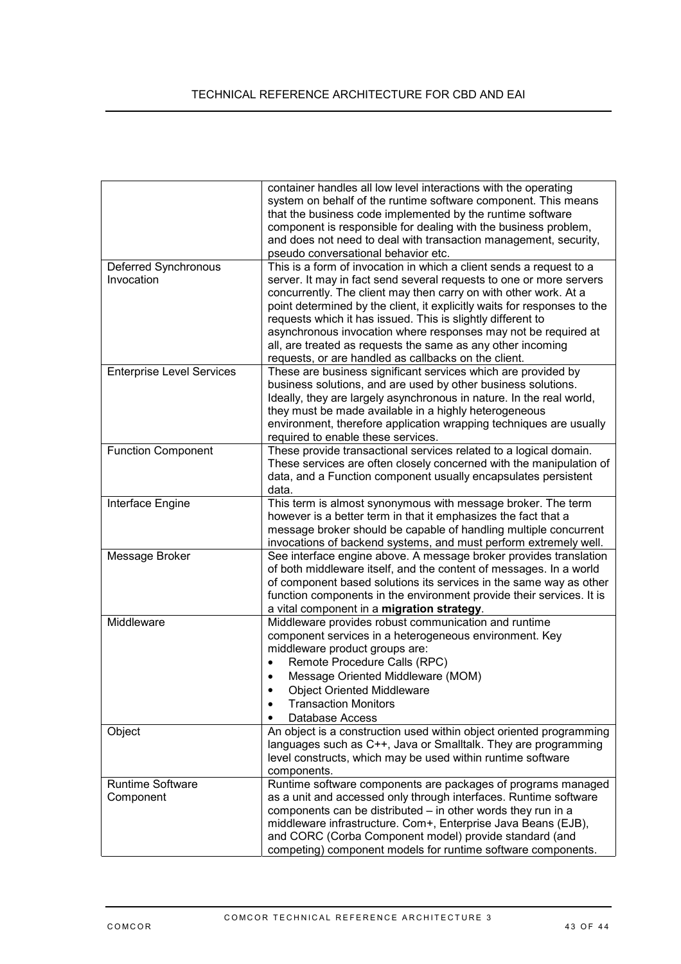|                                    | container handles all low level interactions with the operating<br>system on behalf of the runtime software component. This means<br>that the business code implemented by the runtime software<br>component is responsible for dealing with the business problem,<br>and does not need to deal with transaction management, security,<br>pseudo conversational behavior etc.                                                                                                                                                                      |
|------------------------------------|----------------------------------------------------------------------------------------------------------------------------------------------------------------------------------------------------------------------------------------------------------------------------------------------------------------------------------------------------------------------------------------------------------------------------------------------------------------------------------------------------------------------------------------------------|
| Deferred Synchronous<br>Invocation | This is a form of invocation in which a client sends a request to a<br>server. It may in fact send several requests to one or more servers<br>concurrently. The client may then carry on with other work. At a<br>point determined by the client, it explicitly waits for responses to the<br>requests which it has issued. This is slightly different to<br>asynchronous invocation where responses may not be required at<br>all, are treated as requests the same as any other incoming<br>requests, or are handled as callbacks on the client. |
| <b>Enterprise Level Services</b>   | These are business significant services which are provided by<br>business solutions, and are used by other business solutions.<br>Ideally, they are largely asynchronous in nature. In the real world,<br>they must be made available in a highly heterogeneous<br>environment, therefore application wrapping techniques are usually<br>required to enable these services.                                                                                                                                                                        |
| <b>Function Component</b>          | These provide transactional services related to a logical domain.<br>These services are often closely concerned with the manipulation of<br>data, and a Function component usually encapsulates persistent<br>data.                                                                                                                                                                                                                                                                                                                                |
| Interface Engine                   | This term is almost synonymous with message broker. The term<br>however is a better term in that it emphasizes the fact that a<br>message broker should be capable of handling multiple concurrent<br>invocations of backend systems, and must perform extremely well.                                                                                                                                                                                                                                                                             |
| Message Broker                     | See interface engine above. A message broker provides translation<br>of both middleware itself, and the content of messages. In a world<br>of component based solutions its services in the same way as other<br>function components in the environment provide their services. It is<br>a vital component in a migration strategy.                                                                                                                                                                                                                |
| Middleware                         | Middleware provides robust communication and runtime<br>component services in a heterogeneous environment. Key<br>middleware product groups are:<br>Remote Procedure Calls (RPC)<br>$\bullet$<br>Message Oriented Middleware (MOM)<br><b>Object Oriented Middleware</b><br><b>Transaction Monitors</b><br>٠<br>Database Access                                                                                                                                                                                                                     |
| Object                             | An object is a construction used within object oriented programming<br>languages such as C++, Java or Smalltalk. They are programming<br>level constructs, which may be used within runtime software<br>components.                                                                                                                                                                                                                                                                                                                                |
| Runtime Software<br>Component      | Runtime software components are packages of programs managed<br>as a unit and accessed only through interfaces. Runtime software<br>components can be distributed - in other words they run in a<br>middleware infrastructure. Com+, Enterprise Java Beans (EJB),<br>and CORC (Corba Component model) provide standard (and<br>competing) component models for runtime software components.                                                                                                                                                        |